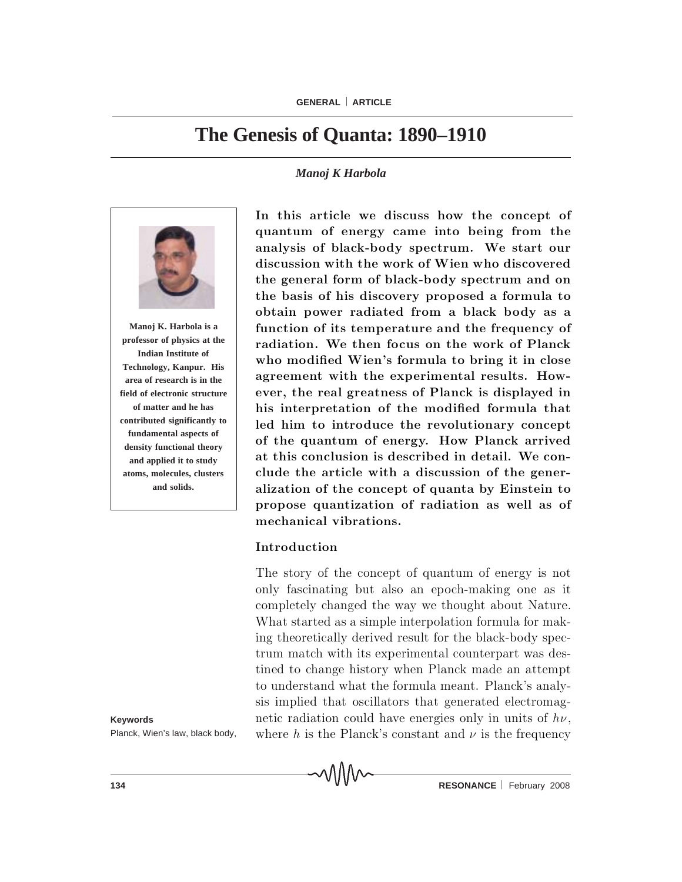# **The Genesis of Quanta: 1890–1910**

### *Manoj K Harbola*



**Manoj K. Harbola is a professor of physics at the Indian Institute of Technology, Kanpur. His area of research is in the field of electronic structure of matter and he has contributed significantly to fundamental aspects of density functional theory and applied it to study atoms, molecules, clusters and solids.**

**Keywords** Planck, Wien's law, black body, In this article we discuss how the concept of quantum of energy came into being from the analysis of black-body spectrum. We start our discussion with the work of Wien who discovered the general form of black-body spectrum and on the basis of his discovery proposed a formula to obtain power radiated from a black body as a function of its temperature and the frequency of radiation. We then focus on the work of Planck who modified Wien's formula to bring it in close agreement with the experimental results. However, the real greatness of Planck is displayed in his interpretation of the modified formula that led him to introduce the revolutionary concept of the quantum of energy. How Planck arrived at this conclusion is described in detail. We conclude the article with a discussion of the generalization of the concept of quanta by Einstein to propose quantization of radiation as well as of mechanical vibrations.

### Introduction

The story of the concept of quantum of energy is not only fascinating but also an epoch-making one as it completely changed the way we thought about Nature. What started as a simple interpolation formula for making theoretically derived result for the black-body spectrum match with its experimental counterpart was destined to change history when Planck made an attempt to understand what the formula meant. Planck's analysis implied that oscillators that generated electromagnetic radiation could have energies only in units of  $h\nu$ , where h is the Planck's constant and  $\nu$  is the frequency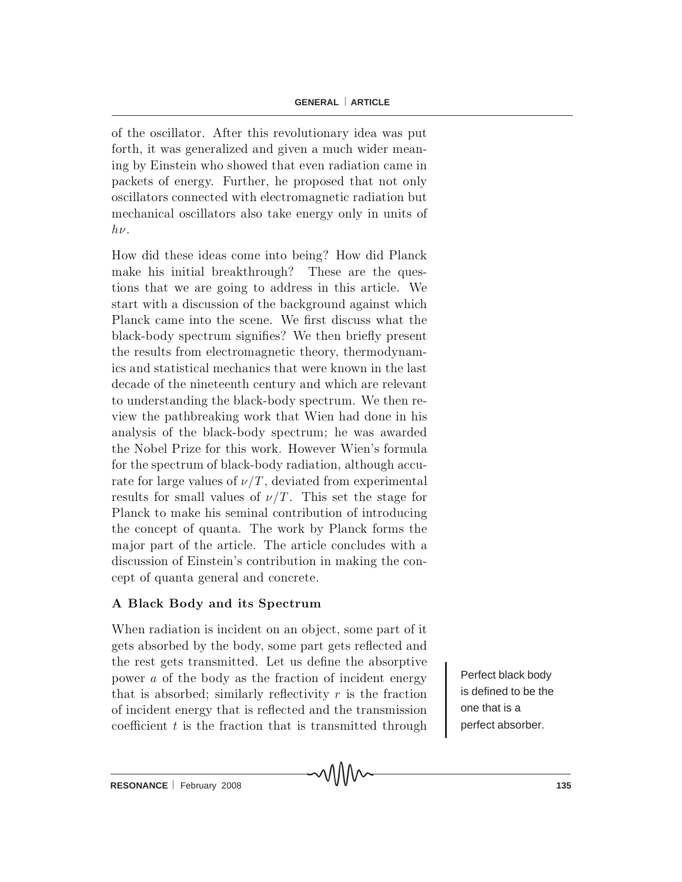of the oscillator. After this revolutionary idea was put forth, it was generalized and given a much wider meaning by Einstein who showed that even radiation came in packets of energy. Further, he proposed that not only oscillators connected with electromagnetic radiation but m echanical oscillators also take energy only in units of  $h\nu$ .

How did these ideas come into being? How did Planck make his initial breakthrough? These are the questions that we are going to address in this article. We start with a discussion of the background against which Planck came into the scene. We first discuss what the black-body spectrum signifies? We then briefly present the results from electromagnetic theory, thermodynamics and statistical mechanics that were known in the last decade of the nineteenth century and which are relevant to understanding the black-body spectrum. We then review the pathbreaking work that Wien had done in his analysis of the black-body spectrum; he was awarded the Nobel Prize for this work. However Wien's formula for the spectrum of black-body radiation, although accurate for large values of  $\nu/T$ , deviated from experimental results for small values of  $\nu/T$ . This set the stage for Planck to make his seminal contribution of introducing the concept of quanta. The work by Planck forms the major part of the article. The article concludes with a discussion of Einstein's contribution in making the concept of quanta general and concrete.

### A Black Body and its Spectrum

When radiation is incident on an object, some part of it gets absorbed by the body, some part gets reflected and the rest gets transmitted. Let us define the absorptive power  $\alpha$  of the body as the fraction of incident energy that is absorbed; similarly reflectivity r is the fraction of incident energy that is reflected and the transmission co efficient  $t$  is the fraction that is transmitted through

Perfect black body is defined to be the one that is a perfect absorber.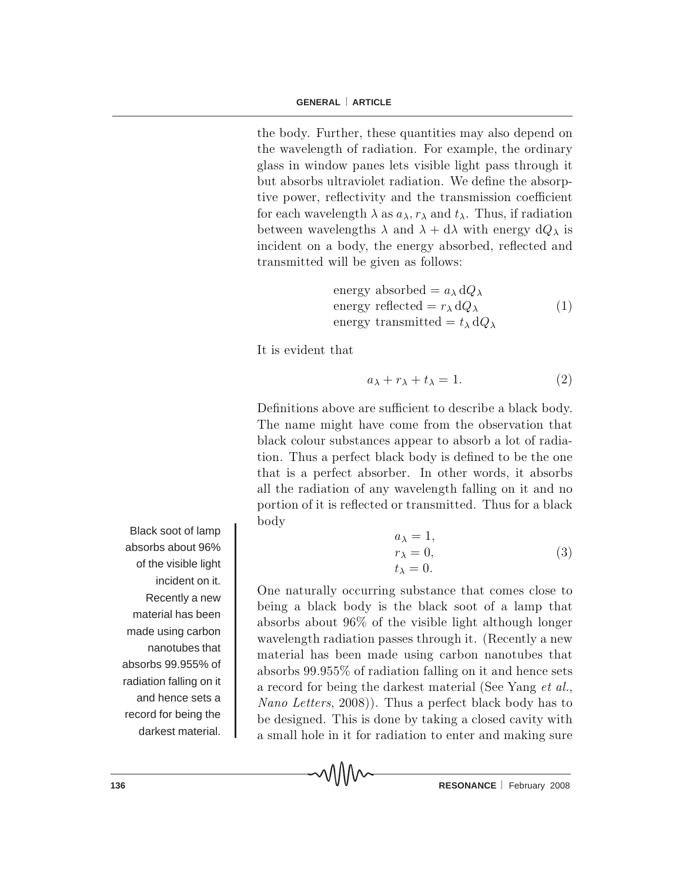the body. Further, these quantities may also depend on the wavelength of radiation. For example, the ordinary glass in window panes lets visible light pass through it but absorbs ultraviolet radiation. We define the absorptive power, reflectivity and the transmission coefficient for each wavelength  $\lambda$  as  $a_{\lambda}, r_{\lambda}$  and  $t_{\lambda}$ . Thus, if radiation between wavelengths  $\lambda$  and  $\lambda + d\lambda$  with energy  $dQ_{\lambda}$  is incident on a body, the energy absorbed, reflected and transmitted will be given as follows:

energy absorbed = 
$$
a_{\lambda} dQ_{\lambda}
$$
  
energy reflected =  $r_{\lambda} dQ_{\lambda}$  (1)  
energy transmitted =  $t_{\lambda} dQ_{\lambda}$ 

It is evident that

$$
a_{\lambda} + r_{\lambda} + t_{\lambda} = 1. \tag{2}
$$

Definitions above are sufficient to describe a black body. The name might have come from the observation that black colour substances appear to absorb a lot of radiation. Thus a perfect black body is defined to be the one that is a perfect absorber. In other words, it absorbs all the radiation of any wavelength falling on it and no portion of it is reflected or transmitted. Thus for a black body

$$
a_{\lambda} = 1,
$$
  
\n
$$
r_{\lambda} = 0,
$$
  
\n
$$
t_{\lambda} = 0.
$$
\n(3)

One naturally occurring substance that comes close to being a black body is the black soot of a lamp that absorbs about  $96\%$  of the visible light although longer w avelength radiation passes through it. (Recently a new m a terial has been made using carbon nanotubes that absorbs  $99.955\%$  of radiation falling on it and hence sets a record for being the darkest material (See Yang et al., *Nano Letters*,  $2008$ ). Thus a perfect black body has to be designed. This is done by taking a closed cavity with a small hole in it for radiation to enter and making sure

∧∧∧∧

Black soot of lamp absorbs about 96% of the visible light incident on it. Recently a new material has been made using carbon nanotubes that absorbs 99.955% of radiation falling on it and hence sets a record for being the darkest material.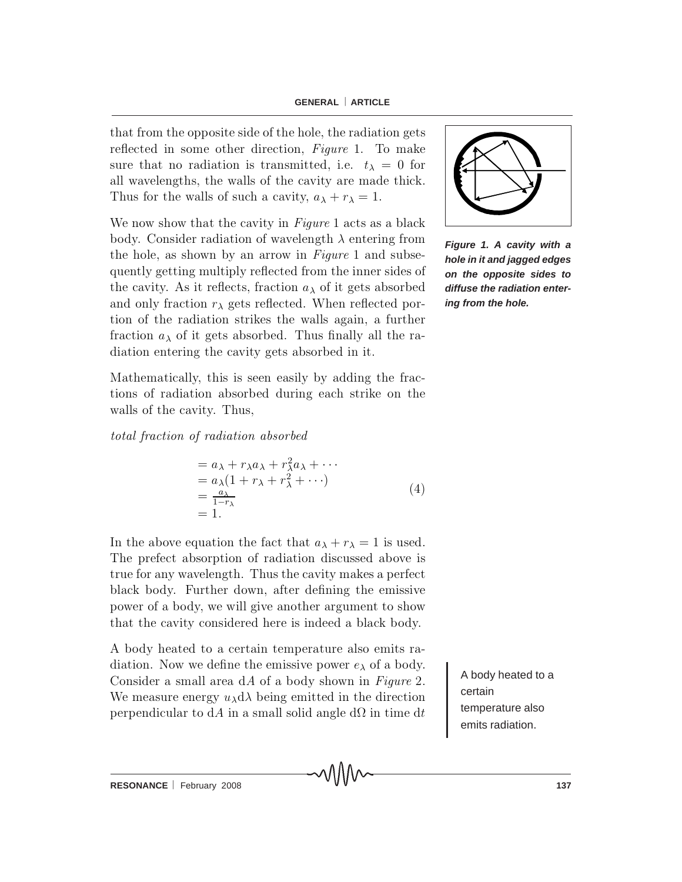that from the opposite side of the hole, the radiation gets reflected in some other direction, Figure 1. To make sure that no radiation is transmitted, i.e.  $t_{\lambda} = 0$  for all wavelengths, the walls of the cavity are made thick. Thus for the walls of such a cavity,  $a_{\lambda} + r_{\lambda} = 1$ .

We now show that the cavity in  $Figure 1$  acts as a black body. Consider radiation of wavelength  $\lambda$  entering from the hole, as shown by an arrow in  $Figure 1$  and subsequently getting multiply reflected from the inner sides of the cavity. As it reflects, fraction  $a_{\lambda}$  of it gets absorbed and only fraction  $r_{\lambda}$  gets reflected. When reflected portion of the radiation strikes the walls again, a further fraction  $a_{\lambda}$  of it gets absorbed. Thus finally all the radiation entering the cavity gets absorbed in it.

M a the matically, this is seen easily by adding the fractions of radiation absorbed during each strike on the walls of the cavity. Thus,

total fraction of radiation absorbed

$$
= a_{\lambda} + r_{\lambda}a_{\lambda} + r_{\lambda}^2a_{\lambda} + \cdots
$$
  
\n
$$
= a_{\lambda}(1 + r_{\lambda} + r_{\lambda}^2 + \cdots)
$$
  
\n
$$
= \frac{a_{\lambda}}{1 - r_{\lambda}}
$$
  
\n
$$
= 1.
$$
\n(4)

In the above equation the fact that  $a_{\lambda} + r_{\lambda} = 1$  is used. The prefect absorption of radiation discussed above is true for any wavelength. Thus the cavity makes a perfect black body. Further down, after defining the emissive power of a body, we will give a nother argument to show that the cavity considered here is indeed a black body.

A body heated to a certain temperature also emits radiation. Now we define the emissive power  $e_{\lambda}$  of a body. Consider a small area  $dA$  of a body shown in Figure 2. We measure energy  $u_{\lambda}d\lambda$  being emitted in the direction perpendicular to dA in a small solid angle d $\Omega$  in time dt

A body heated to a certain temperature also emits radiation.



*Figure 1. A cavity with a hole in it and jagged edges on the opposite sides to diffuse the radiation entering from the hole.*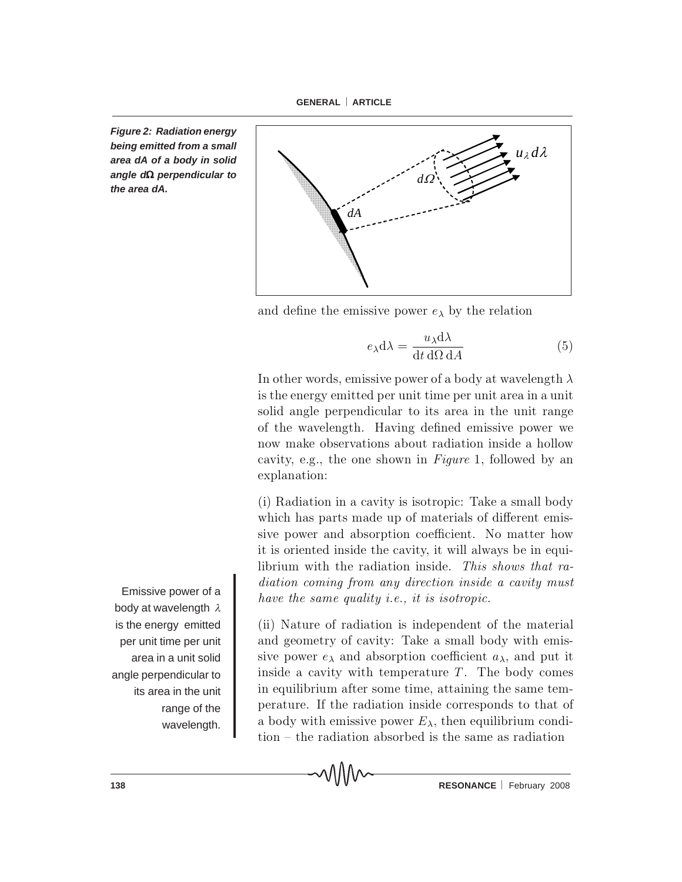*Figure 2: Radiation energy being emitted from a small area dA of a body in solid angle d*Ω *perpendicular to the area dA.*



and define the emissive power  $e_{\lambda}$  by the relation

$$
e_{\lambda}d\lambda = \frac{u_{\lambda}d\lambda}{dt d\Omega dA}
$$
 (5)

In other words, emissive power of a body at wavelength  $\lambda$ is the energy emitted per unit time per unit area in a unit so lid angle perpendicular to its area in the unit range of the wavelength. Having defined emissive power we now make observations about radiation inside a hollow cavity, e.g., the one shown in Figure 1, followed by an explanation:

 $(i)$  Radiation in a cavity is isotropic: Take a small body which has parts made up of materials of different emissive power and absorption coefficient. No matter how it is oriented inside the cavity, it will always be in equilibrium with the radiation inside. This shows that radiation coming from any direction inside a cavity must have the same quality *i.e.*, it is isotropic.

(ii) Nature of radiation is independent of the material and geometry of cavity: Take a small body with emissive power  $e_{\lambda}$  and absorption coefficient  $a_{\lambda}$ , and put it inside a cavity with temperature  $T$ . The body comes in equilibrium after some time, attaining the same temperature. If the radiation inside corresponds to that of a body with emissive power  $E_{\lambda}$ , then equilibrium condi $t$ ion  $-$  the radiation absorbed is the same as radiation

Emissive power of a body at wavelength  $\lambda$ is the energy emitted per unit time per unit area in a unit solid angle perpendicular to its area in the unit range of the wavelength.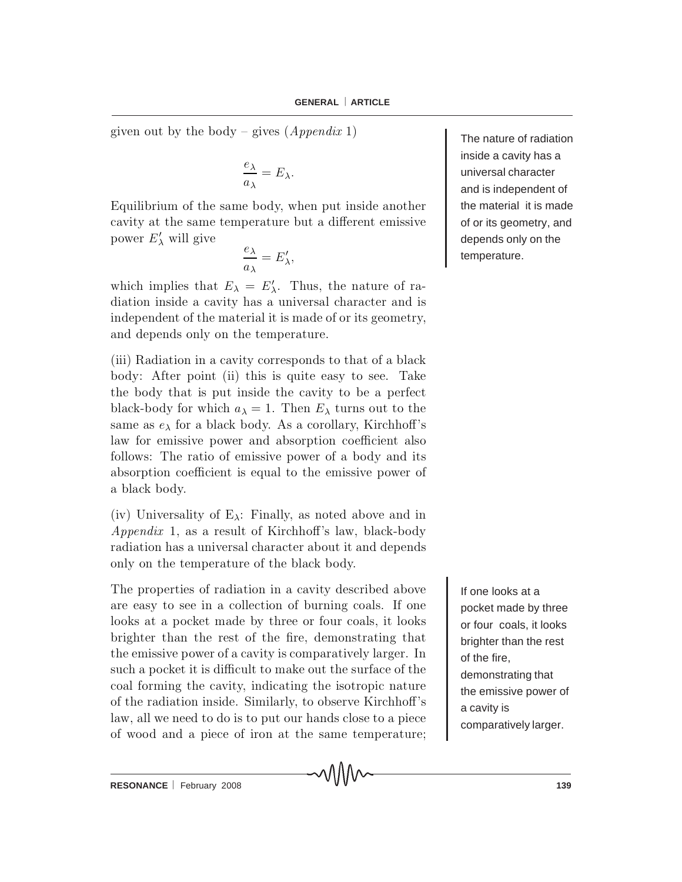given out by the body – gives  $(Appendix 1)$ 

$$
\frac{e_{\lambda}}{a_{\lambda}} = E_{\lambda}.
$$

Equilibrium of the same body, when put inside another cavity at the same temperature but a different emissive power  $E'_{\lambda}$  will give

$$
\frac{e_{\lambda}}{a_{\lambda}}=E'_{\lambda},
$$

which implies that  $E_{\lambda} = E'_{\lambda}$ . Thus, the nature of radiation inside a cavity has a universal character and is independent of the material it is made of or its geometry, and depends only on the temperature.

(iii) Radiation in a cavity corresponds to that of a black body: After point (ii) this is quite easy to see. Take the body that is put inside the cavity to be a perfect black-body for which  $a_{\lambda} = 1$ . Then  $E_{\lambda}$  turns out to the same as  $e_{\lambda}$  for a black body. As a corollary, Kirchhoff's law for emissive power and absorption coefficient also follows: The ratio of emissive power of a body and its absorption coefficient is equal to the emissive power of a black body.

(iv) Universality of  $E_{\lambda}$ : Finally, as noted above and in *Appendix* 1, as a result of Kirchhoff's law, black-body radiation has a universal character about it and depends only on the temperature of the black body.

The properties of radiation in a cavity described above are easy to see in a collection of burning coals. If one looks at a pocket made by three or four coals, it looks brighter than the rest of the fire, demonstrating that the emissive power of a cavity is comparatively larger. In such a pocket it is difficult to make out the surface of the coal forming the cavity, indicating the isotropic nature of the radiation inside. Similarly, to observe Kirchhoff's law, all we need to do is to put our hands close to a piece of wood and a piece of iron at the same temperature;

The nature of radiation inside a cavity has a universal character and is independent of the material it is made of or its geometry, and depends only on the temperature.

If one looks at a pocket made by three or four coals, it looks brighter than the rest of the fire, demonstrating that the emissive power of a cavity is comparatively larger.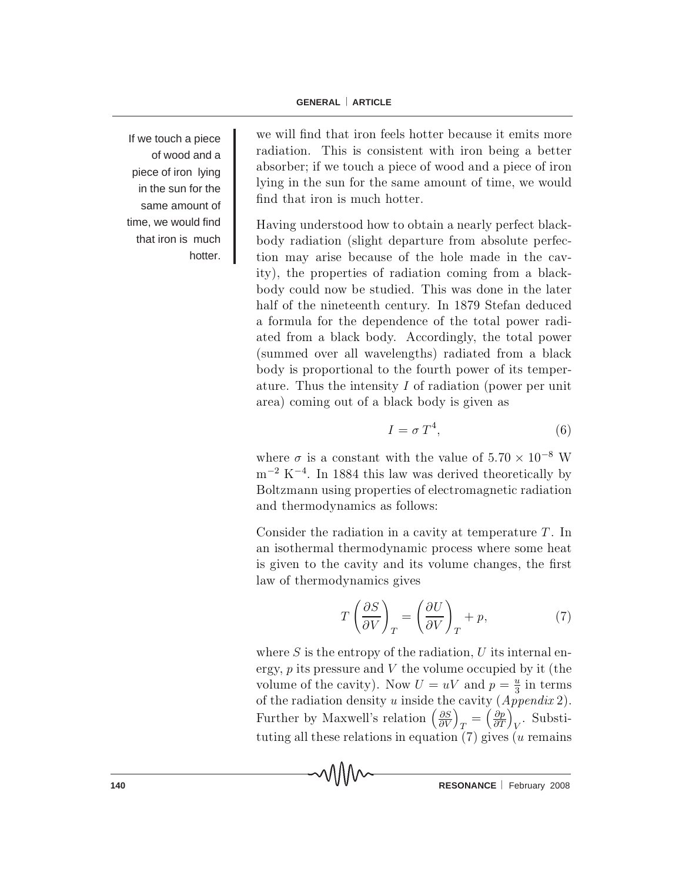If we touch a piece of wood and a piece of iron lying in the sun for the same amount of time, we would find that iron is much hotter.

we will find that iron feels hotter because it emits more radiation. This is consistent with iron being a better absorber; if we touch a piece of wood and a piece of iron lying in the sun for the same amount of time, we would find that iron is much hotter.

Having understood how to obtain a nearly perfect blackbody radiation (slight departure from absolute perfection may arise because of the hole made in the cavity), the properties of radiation coming from a blackbody could now be studied. This was done in the later half of the nineteenth century. In 1879 Stefan deduced a formula for the dependence of the total power radiated from a black body. Accordingly, the total power (summed over all wavelengths) radiated from a black body is proportional to the fourth power of its temperature. Thus the intensity  $I$  of radiation (power per unit area) coming out of a black body is given as

$$
I = \sigma T^4,\tag{6}
$$

where  $\sigma$  is a constant with the value of  $5.70 \times 10^{-8}$  W  $\rm m^{-2}$  K<sup>-4</sup>. In 1884 this law was derived theoretically by Boltzmann using properties of electromagnetic radiation and thermodynamics as follows:

Consider the radiation in a cavity at temperature  $T$ . In an iso thermal thermodynamic process where some heat is given to the cavity and its volume changes, the first law of thermodynamics gives

$$
T\left(\frac{\partial S}{\partial V}\right)_T = \left(\frac{\partial U}{\partial V}\right)_T + p,\tag{7}
$$

where S is the entropy of the radiation, U its internal energy,  $p$  its pressure and  $V$  the volume occupied by it (the volume of the cavity). Now  $U = uV$  and  $p = \frac{u}{3}$  in terms of the radiation density u inside the cavity  $(A \text{p} \text{p} \text{e} \text{m} \text{d} \text{m} \text{f} \text{c}$ . Further by Maxwell's relation  $\left(\frac{\partial S}{\partial V}\right)_T = \left(\frac{\partial p}{\partial T}\right)_V$ . Substituting all these relations in equation  $(7)$  gives (u remains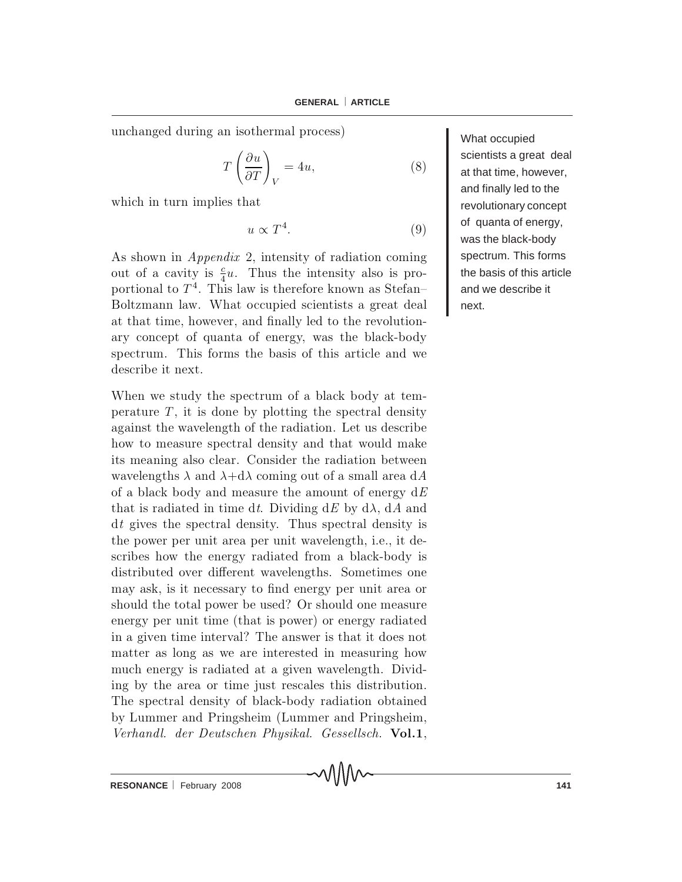unchanged during an isothermal process)

$$
T\left(\frac{\partial u}{\partial T}\right)_V = 4u,\tag{8}
$$

which in turn implies that

$$
u \propto T^4. \tag{9}
$$

As shown in *Appendix 2*, intensity of radiation coming out of a cavity is  $\frac{c}{4}u$ . Thus the intensity also is proportional to  $T<sup>4</sup>$ . This law is therefore known as Stefan-Boltzmann law. What occupied scientists a great deal at that time, however, and finally led to the revolutionary concept of quanta of energy, was the black-body spectrum. This forms the basis of this article and we describe it next.

When we study the spectrum of a black body at temperature  $T$ , it is done by plotting the spectral density against the wavelength of the radiation. Let us describe how to measure spectral density and that would make its meaning also clear. Consider the radiation between wavelengths  $\lambda$  and  $\lambda + d\lambda$  coming out of a small area dA of a black body and measure the amount of energy  $dE$ that is radiated in time dt. Dividing  $dE$  by  $d\lambda$ ,  $dA$  and  $dt$  gives the spectral density. Thus spectral density is the power per unit area per unit wavelength, i.e., it describes how the energy radiated from a black-body is distributed over different wavelengths. Sometimes one may ask, is it necessary to find energy per unit area or should the total power be used? Or should one measure energy per unit time (that is power) or energy radiated in a given time interval? The answer is that it does not matter as long as we are interested in measuring how much energy is radiated at a given wavelength. Dividing by the area or time just rescales this distribution. The spectral density of black-body radiation obtained by Lummer and Pringsheim (Lummer and Pringsheim, Verhandl. der Deutschen Physikal. Gessellsch. Vol.1, What occupied scientists a great deal at that time, however, and finally led to the revolutionary concept of quanta of energy, was the black-body spectrum. This forms the basis of this article and we describe it next.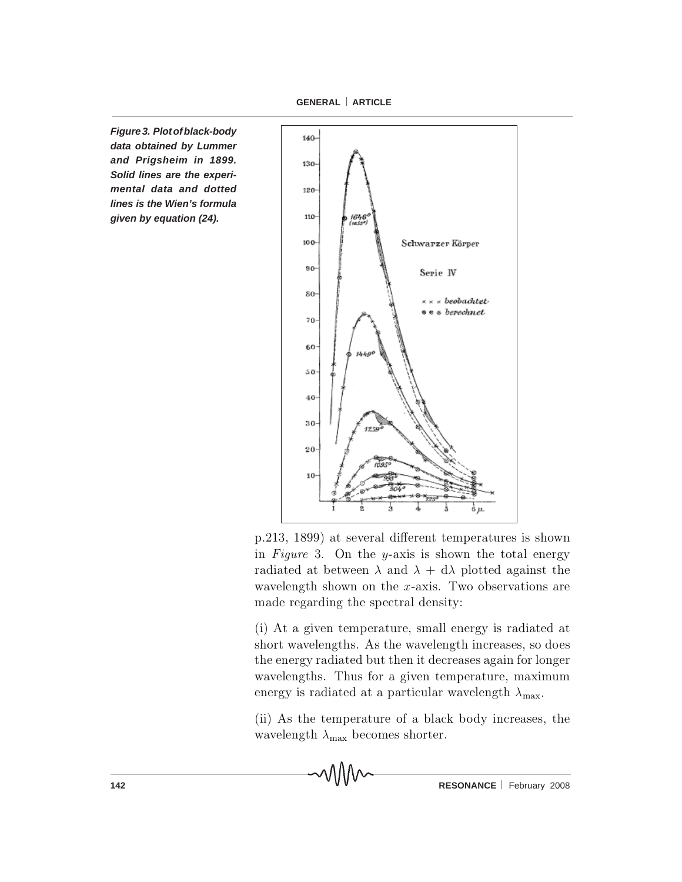**GENERAL** ⎜ **ARTICLE**

*Figure 3. Plot of black-body data obtained by Lummer and Prigsheim in 1899. Solid lines are the experimental data and dotted lines is the Wien's formula given by equation (24).*



p.213, 1899) at several different temperatures is shown in Figure 3. On the y-axis is shown the total energy radiated at between  $\lambda$  and  $\lambda + d\lambda$  plotted against the wavelength shown on the x-axis. Two observations are made regarding the spectral density:

 $(i)$  At a given temperature, small energy is radiated at short wavelengths. As the wavelength increases, so does the energy radiated but then it decreases again for longer wavelengths. Thus for a given temperature, maximum energy is radiated at a particular wavelength  $\lambda_{\text{max}}$ .

(ii) As the temperature of a black body increases, the wavelength  $\lambda_{\text{max}}$  becomes shorter.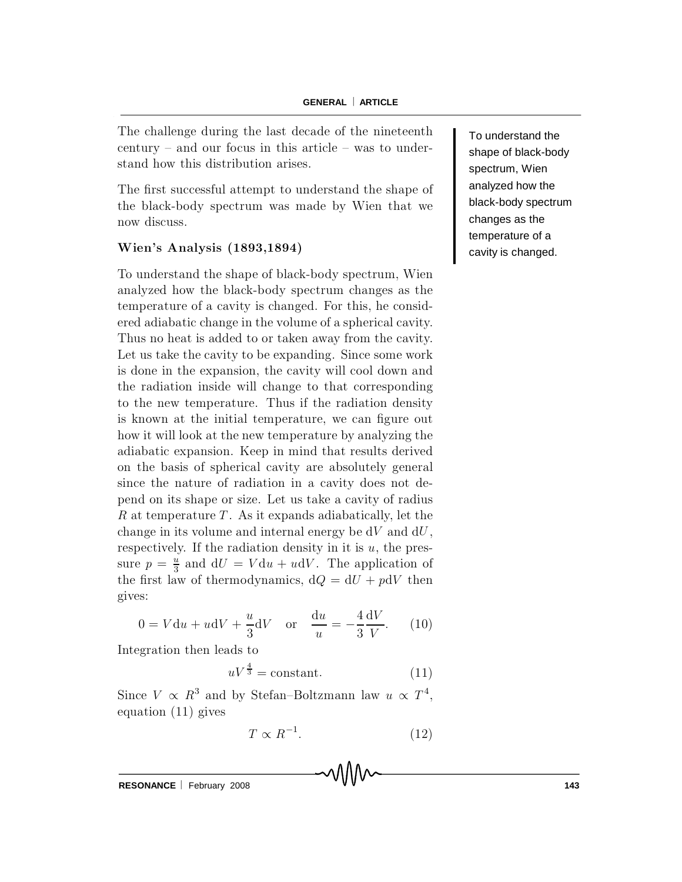The challenge during the last decade of the nineteenth century  $-$  and our focus in this article  $-$  was to understand how this distribution arises.

The first successful attempt to understand the shape of the black-body spectrum was made by Wien that we now discuss.

### Wien's Analysis (1893,1894)

To understand the shape of black-body spectrum, Wien analyzed how the black-body spectrum changes as the temperature of a cavity is changed. For this, he considered adiabatic change in the volume of a spherical cavity. Thus no heat is added to or taken away from the cavity. Let us take the cavity to be expanding. Since some work is done in the expansion, the cavity will cool down and the radiation inside will change to that corresponding to the new temperature. Thus if the radiation density is known at the initial temperature, we can figure out how it will look at the new temperature by analyzing the adiabatic expansion. Keep in mind that results derived on the basis of spherical cavity are absolutely general since the nature of radiation in a cavity does not depend on its shape or size. Let us take a cavity of radius R at temperature  $T$ . As it expands adiabatically, let the change in its volume and internal energy be  $dV$  and  $dU$ , respectively. If the radiation density in it is  $u$ , the pressure  $p = \frac{v}{2}$  $\frac{u}{3}$  and  $dU = V du + u dV$ . The application of the first law of thermodynamics,  $dQ = dU + pdV$  then gives:

$$
0 = V \mathrm{d}u + u \mathrm{d}V + \frac{u}{3} \mathrm{d}V \quad \text{or} \quad \frac{\mathrm{d}u}{u} = -\frac{4}{3} \frac{\mathrm{d}V}{V}. \tag{10}
$$

Integration then leads to

$$
uV^{\frac{4}{3}} = \text{constant.} \tag{11}
$$

Since  $V \propto R^3$  and by Stefan-Boltzmann law  $u \propto T^4$ , equation (11) gives

$$
T \propto R^{-1}.\tag{12}
$$

**RESONANCE** | February 2008 **143** 

To understand the shape of black-body spectrum, Wien analyzed how the black-body spectrum changes as the temperature of a cavity is changed.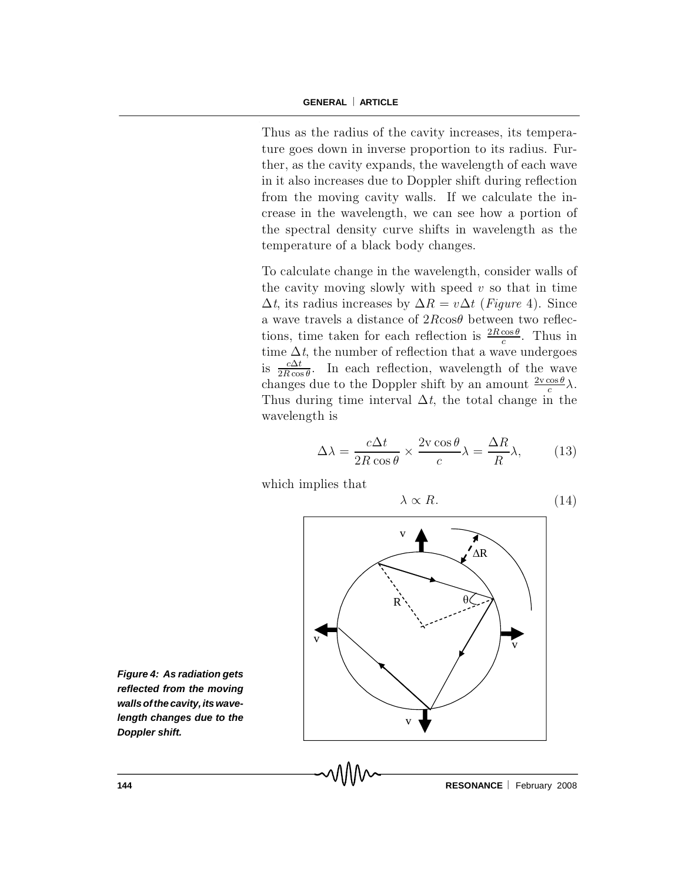Thus as the radius of the cavity increases, its temperature goes down in inverse proportion to its radius. Further, as the cavity expands, the wavelength of each wave in it also increases due to Doppler shift during reflection from the moving cavity walls. If we calculate the increase in the wavelength, we can see how a portion of the spectral density curve shifts in wavelength as the temperature of a black body changes.

To calculate change in the wavelength, consider walls of the cavity moving slowly with speed  $v$  so that in time  $\Delta t$ , its radius increases by  $\Delta R = v \Delta t$  (Figure 4). Since a wave travels a distance of  $2R \cos\theta$  between two reflections, time taken for each reflection is  $\frac{2R\cos\theta}{c}$  $\frac{\cos \theta}{c}$ . Thus in time  $\Delta t$ , the number of reflection that a wave undergoes is  $\frac{c\Delta t}{2R\cos t}$  $\frac{c\Delta t}{2R\cos\theta}$ . In each reflection, wavelength of the wave changes due to the Doppler shift by an amount  $\frac{2 \text{y} \cos \theta}{c}$  $rac{\cos \theta}{c} \lambda$ . Thus during time interval  $\Delta t$ , the total change in the wavelength is

$$
\Delta\lambda = \frac{c\Delta t}{2R\cos\theta} \times \frac{2v\cos\theta}{c} \lambda = \frac{\Delta R}{R} \lambda, \quad (13)
$$

which implies that

$$
\lambda \propto R. \tag{14}
$$



*Figure 4: As radiation gets reflected from the moving wallsofthecavity,itswavelength changes due to the Doppler shift.*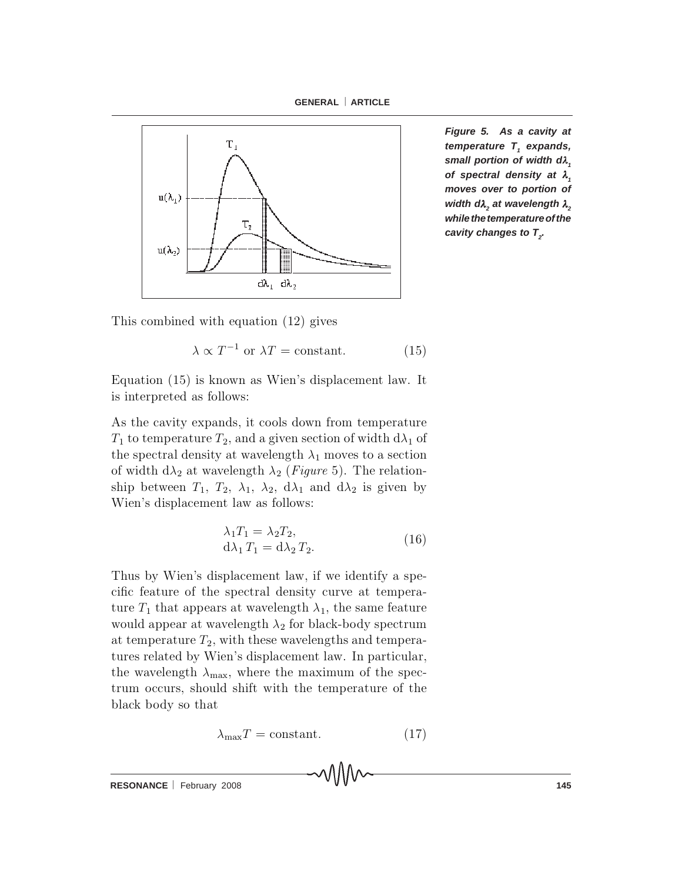**GENERAL** ⎜ **ARTICLE**



*Figure 5. As a cavity at temperature* T<sub>1</sub> expands, *small portion of width dλ*, *of spectral density at λ<sub>1</sub> moves over to portion of width dλ<sub>2</sub>* at wavelength  $λ_2$ *while the temperature of the cavity changes to*  $T<sub>2</sub>$ *.* 

This combined with equation  $(12)$  gives

 $\lambda \propto T^{-1}$  or  $\lambda T =$  constant. (15)

Equation  $(15)$  is known as Wien's displacement law. It is interpreted as follows:

As the cavity expands, it cools down from temperature  $T_1$  to temperature  $T_2$ , and a given section of width  $d\lambda_1$  of the spectral density at wavelength  $\lambda_1$  moves to a section of width  $d\lambda_2$  at wavelength  $\lambda_2$  (*Figure* 5). The relationship between  $T_1$ ,  $T_2$ ,  $\lambda_1$ ,  $\lambda_2$ ,  $d\lambda_1$  and  $d\lambda_2$  is given by Wien's displacement law as follows:

$$
\lambda_1 T_1 = \lambda_2 T_2,
$$
  
\n
$$
d\lambda_1 T_1 = d\lambda_2 T_2.
$$
\n(16)

Thus by Wien's displacement law, if we identify a specific feature of the spectral density curve at temperature  $T_1$  that appears at wavelength  $\lambda_1$ , the same feature would appear at wavelength  $\lambda_2$  for black-body spectrum at temperature  $T_2$ , with these wavelengths and temperatures related by Wien's displacement law. In particular, the wavelength  $\lambda_{\text{max}}$ , where the maximum of the spectrum occurs, should shift with the temperature of the black body so that

$$
\lambda_{\text{max}} T = \text{constant.} \tag{17}
$$

**RESONANCE** February 2008 **145**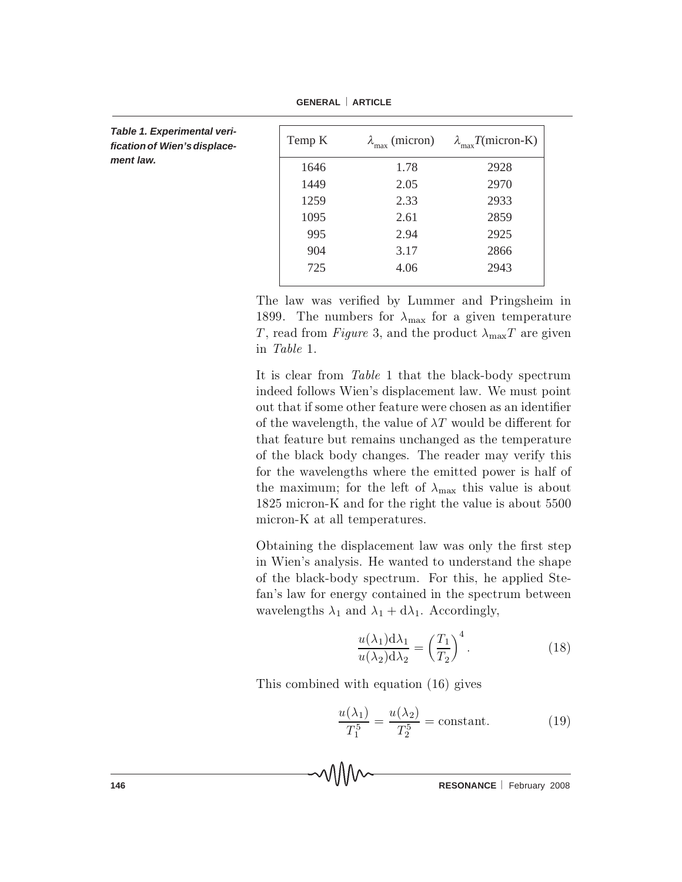| Table 1. Experimental veri-<br>fication of Wien's displace-<br>ment law. | Temp K | $\lambda_{\text{max}}$ (micron) | $\lambda_{\text{max}}$ T(micron-K) |
|--------------------------------------------------------------------------|--------|---------------------------------|------------------------------------|
|                                                                          | 1646   | 1.78                            | 2928                               |
|                                                                          | 1449   | 2.05                            | 2970                               |
|                                                                          | 1259   | 2.33                            | 2933                               |
|                                                                          | 1095   | 2.61                            | 2859                               |
|                                                                          | 995    | 2.94                            | 2925                               |
|                                                                          | 904    | 3.17                            | 2866                               |
|                                                                          | 725    | 4.06                            | 2943                               |
|                                                                          |        |                                 |                                    |

**GENERAL** ⎜ **ARTICLE**

The law was verified by Lummer and Pringsheim in 1899. The numbers for  $\lambda_{\text{max}}$  for a given temperature T, read from Figure 3, and the product  $\lambda_{\text{max}}T$  are given in Table 1.

It is clear from  $Table 1$  that the black-body spectrum indeed follows Wien's displacement law. We must point out that if some other feature were chosen as an identifier of the wavelength, the value of  $\lambda T$  would be different for that feature but remains unchanged as the temperature of the black body changes. The reader may verify this for the wavelengths where the emitted power is half of the maximum; for the left of  $\lambda_{\text{max}}$  this value is about 1825 micron-K and for the right the value is about 5500 micron-K at all temperatures.

Obtaining the displacement law was only the first step in Wien's analysis. He wanted to understand the shape of the black-body spectrum. For this, he applied Stefan's law for energy contained in the spectrum between wavelengths  $\lambda_1$  and  $\lambda_1 + d\lambda_1$ . Accordingly,

$$
\frac{u(\lambda_1)d\lambda_1}{u(\lambda_2)d\lambda_2} = \left(\frac{T_1}{T_2}\right)^4.
$$
 (18)

This combined with equation  $(16)$  gives

$$
\frac{u(\lambda_1)}{T_1^5} = \frac{u(\lambda_2)}{T_2^5} = \text{constant.}
$$
 (19)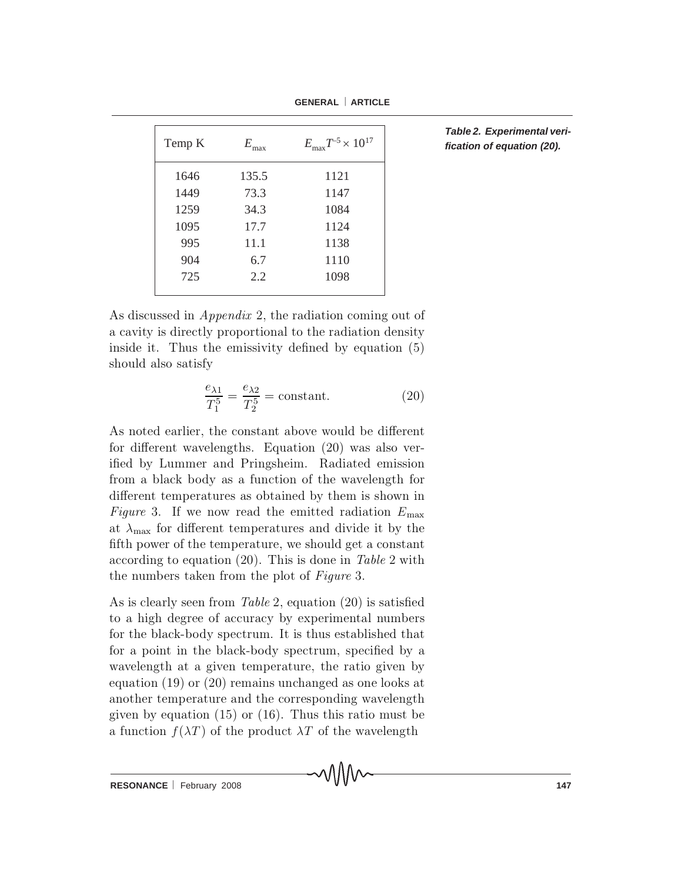| Temp K | $E_{-}$<br>max | $E_{\rm max} T^{-5} \times 10^{17}$ |
|--------|----------------|-------------------------------------|
| 1646   | 135.5          | 1121                                |
| 1449   | 73.3           | 1147                                |
| 1259   | 34.3           | 1084                                |
| 1095   | 17.7           | 1124                                |
| 995    | 11.1           | 1138                                |
| 904    | 6.7            | 1110                                |
| 725    | 2.2            | 1098                                |
|        |                |                                     |

*Table 2. Experimental verification of equation (20).* 

As discussed in  $Appendix 2$ , the radiation coming out of a cavity is directly proportional to the radiation density inside it. Thus the emissivity defined by equation  $(5)$ should also satisfy

$$
\frac{e_{\lambda 1}}{T_1^5} = \frac{e_{\lambda 2}}{T_2^5} = \text{constant.}
$$
 (20)

As noted earlier, the constant above would be different for different wavelengths. Equation  $(20)$  was also verified by Lummer and Pringsheim. Radiated emission from a black body as a function of the wavelength for different temperatures as obtained by them is shown in Figure 3. If we now read the emitted radiation  $E_{\text{max}}$ at  $\lambda_{\text{max}}$  for different temperatures and divide it by the fifth power of the temperature, we should get a constant according to equation (20). This is done in Table 2 with the numbers taken from the plot of  $Figure 3$ .

As is clearly seen from Table 2, equation  $(20)$  is satisfied to a high degree of accuracy by experimental numbers for the black-body spectrum. It is thus established that for a point in the black-body spectrum, specified by a wavelength at a given temperature, the ratio given by equation  $(19)$  or  $(20)$  remains unchanged as one looks at a n o the remperature and the corresponding wavelength given by equation  $(15)$  or  $(16)$ . Thus this ratio must be a function  $f(\lambda T)$  of the product  $\lambda T$  of the wavelength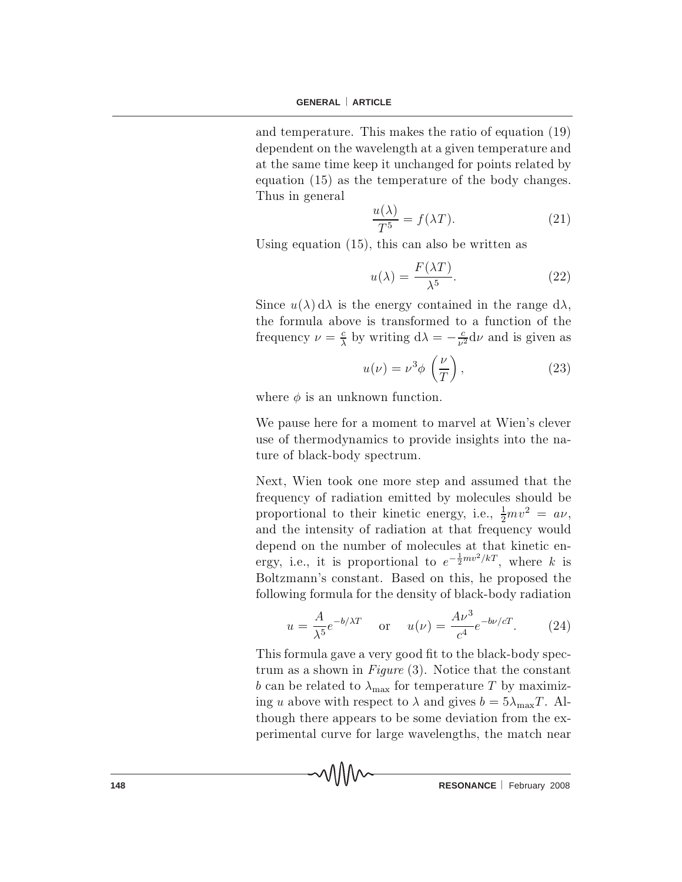and temperature. This makes the ratio of equation  $(19)$ dependent on the wavelength at a given temperature and at the same time keep it unchanged for points related by equation  $(15)$  as the temperature of the body changes. Thus in general

$$
\frac{u(\lambda)}{T^5} = f(\lambda T). \tag{21}
$$

Using equation  $(15)$ , this can also be written as

$$
u(\lambda) = \frac{F(\lambda T)}{\lambda^5}.
$$
 (22)

Since  $u(\lambda) d\lambda$  is the energy contained in the range  $d\lambda$ , the formula above is transformed to a function of the frequency  $\nu = \frac{c}{\lambda}$  by writing  $d\lambda = -\frac{c}{\nu^2} d\nu$  and is given as

$$
u(\nu) = \nu^3 \phi \left(\frac{\nu}{T}\right),\tag{23}
$$

where  $\phi$  is an unknown function.

We pause here for a moment to marvel at Wien's clever use of thermodynamics to provide insights into the nature of black-body spectrum.

Next, Wien took one more step and assumed that the frequency of radiation emitted by molecules should be proportional to their kinetic energy, i.e.,  $\frac{1}{2}mv^2 = av$ , and the intensity of radiation at that frequency would depend on the number of molecules at that kinetic energy, i.e., it is proportional to  $e^{-\frac{1}{2}mv^2/kT}$ , where k is Boltzmann's constant. Based on this, he proposed the following formula for the density of black-body radiation

$$
u = \frac{A}{\lambda^5} e^{-b/\lambda T} \quad \text{or} \quad u(\nu) = \frac{A\nu^3}{c^4} e^{-b\nu/cT}.
$$
 (24)

This formula gave a very good fit to the black-body spectrum as a shown in  $Figure (3)$ . Notice that the constant b can be related to  $\lambda_{\text{max}}$  for temperature T by maximizing u above with respect to  $\lambda$  and gives  $b = 5\lambda_{\text{max}}T$ . Although there appears to be some deviation from the experimental curve for large wavelengths, the match near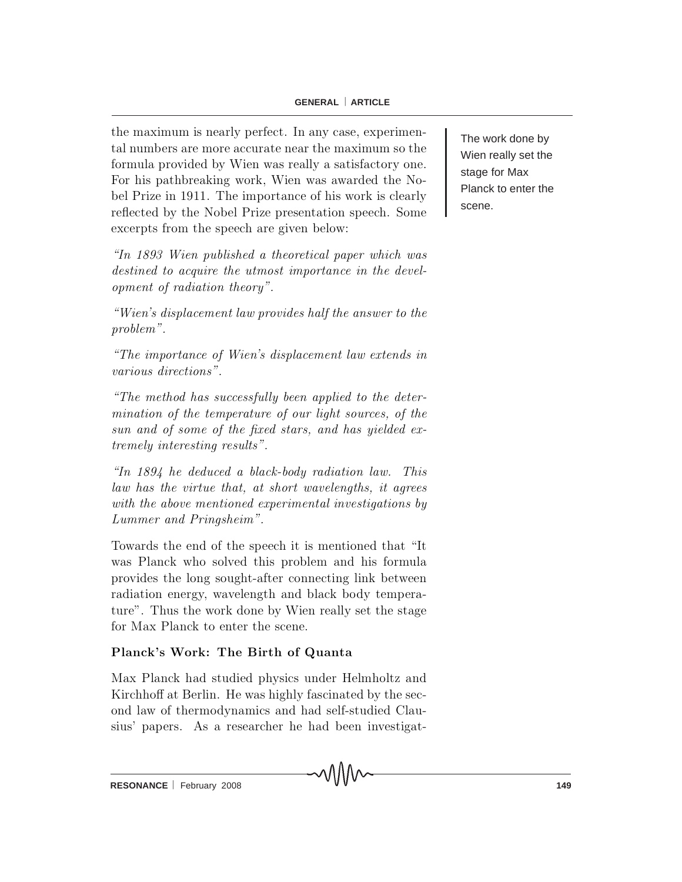the maximum is nearly perfect. In any case, experimental numbers are more accurate near the maximum so the formula provided by Wien was really a satisfactory one. For his pathbreaking work, Wien was awarded the Nobel Prize in 1911. The importance of his work is clearly reflected by the Nobel Prize presentation speech. Some excerpts from the speech are given below:

 $\ln$  1893 Wien published a theoretical paper which was destined to acquire the utmost importance in the development of radiation theory".

 $\emph{``Wien's displacement law provides half the answer to the''}$ problem ".

 $\emph{``The importance of Wien's displacement law extends in}$ various directions".

 $\emph{``The method has successfully been applied to the deter--}$ mination of the temperature of our light sources, of the sun and of some of the fixed stars, and has yielded extremely interesting results".

"In  $1894$  he deduced a black-body radiation law. This law has the virtue that, at short wavelengths, it agrees with the above mentioned experimental investigations by Lummer and Pringsheim".

Towards the end of the speech it is mentioned that "It was Planck who solved this problem and his formula provides the long sought-after connecting link between radiation energy, wavelength and black body temperature". Thus the work done by Wien really set the stage for Max Planck to enter the scene.

# Planck's Work: The Birth of Quanta

Max Planck had studied physics under Helmholtz and Kirch h off at Berlin. He was highly fascinated by the second law of thermodynamics and had self-studied Clausius' papers. As a researcher he had been investigat-

∧∧∧∧

The work done by Wien really set the stage for Max Planck to enter the scene.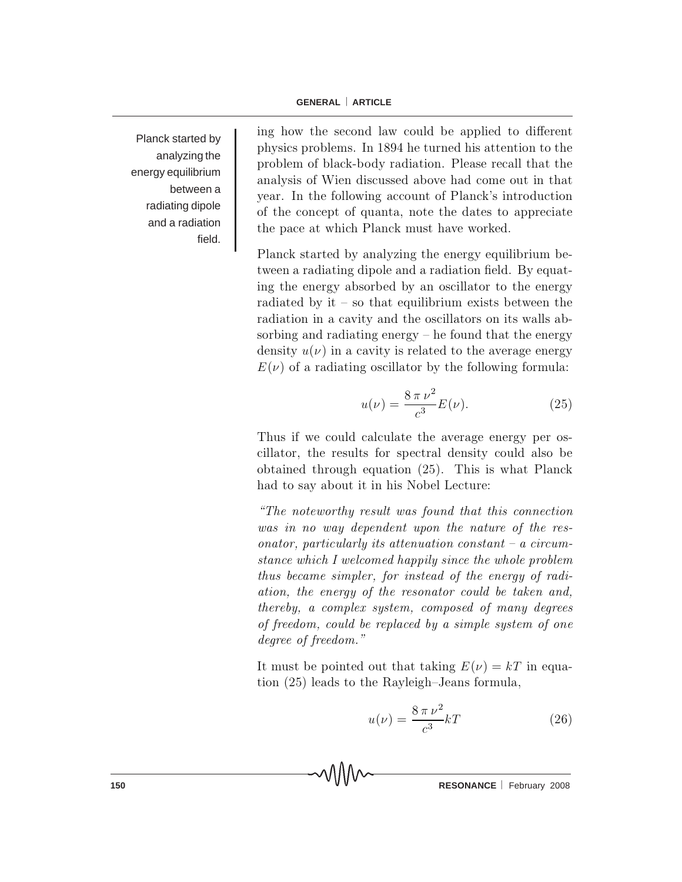Planck started by analyzing the energy equilibrium between a radiating dipole and a radiation field.

ing how the second law could be applied to different physics problems. In 1894 he turned his attention to the problem of black-body radiation. Please recall that the analysis of Wien discussed above had come out in that year. In the following account of Planck's introduction of the concept of quanta, note the dates to appreciate the pace at which Planck must have worked.

Planck started by analyzing the energy equilibrium between a radiating dipole and a radiation field. By equating the energy absorbed by an oscillator to the energy radiated by it  $-$  so that equilibrium exists between the radiation in a cavity and the oscillators on its walls absorbing and radiating energy  $-$  he found that the energy density  $u(\nu)$  in a cavity is related to the average energy  $E(\nu)$  of a radiating oscillator by the following formula:

$$
u(\nu) = \frac{8 \pi \nu^2}{c^3} E(\nu).
$$
 (25)

Thus if we could calculate the average energy per oscillator, the results for spectral density could also be obtained through equation  $(25)$ . This is what Planck had to say about it in his Nobel Lecture:

 $\emph{``The noteworthy result was found that this connection''}$ was in no way dependent upon the nature of the reson ator, particularly its attenuation constant  ${-}$  a circumstance which I welcomed happily since the whole problem thus became simpler, for instead of the energy of radiation, the energy of the resonator could be taken and, thereby, a complex system, composed of many degrees of freedom, could be replaced by a simple system of one degree of freedom."

It must be pointed out that taking  $E(\nu) = kT$  in equation  $(25)$  leads to the Rayleigh-Jeans formula,

$$
u(\nu) = \frac{8\,\pi\,\nu^2}{c^3}kT\tag{26}
$$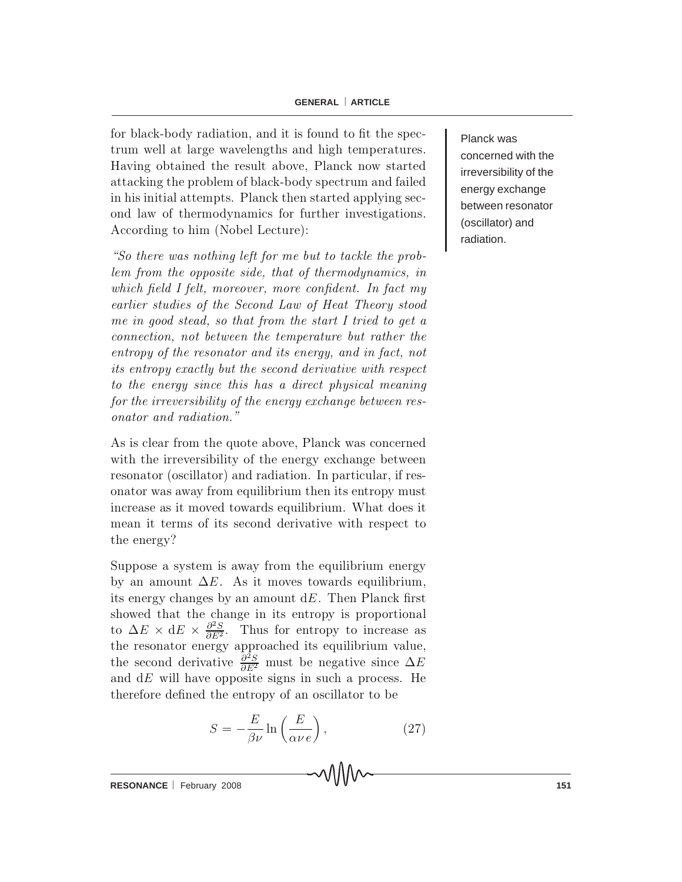for black-body radiation, and it is found to fit the spectrum well at large wavelengths and high temperatures. Having obtained the result above, Planck now started attacking the problem of black-body spectrum and failed in his initial attempts. Planck then started applying second law of thermodynamics for further investigations. According to him (Nobel Lecture):

"So there was nothing left for me but to tackle the problem from the opposite side, that of thermodynamics, in which field I felt, moreover, more confident. In fact my earlier studies of the Second Law of Heat Theory stood me in good stead, so that from the start I tried to get a connection, not between the temperature but rather the entropy of the resonator and its energy, and in fact, not its entropy exactly but the second derivative with respect to the energy since this has a direct physical meaning for the irreversibility of the energy exchange between resonator and radiation."

As is clear from the quote above, Planck was concerned with the irreversibility of the energy exchange between resonator (oscillator) and radiation. In particular, if reson a to r was away from equilibrium then its entropy must increase as it moved towards equilibrium. What does it mean it terms of its second derivative with respect to the energy?

Suppose a system is away from the equilibrium energy by an amount  $\Delta E$ . As it moves towards equilibrium, its energy changes by an amount  $dE$ . Then Planck first showed that the change in its entropy is proportional to  $\Delta E \times dE \times \frac{\partial^2 S}{\partial E^2}$ . Thus for entropy to increase as the resonator energy approached its equilibrium value, the second derivative  $\frac{\partial^2 S}{\partial E^2}$  must be negative since  $\Delta P$ and  $dE$  will have opposite signs in such a process. He therefore defined the entropy of an oscillator to be

$$
S = -\frac{E}{\beta \nu} \ln \left( \frac{E}{\alpha \nu \, e} \right),\tag{27}
$$

Planck was concerned with the irreversibility of the energy exchange between resonator (oscillator) and radiation.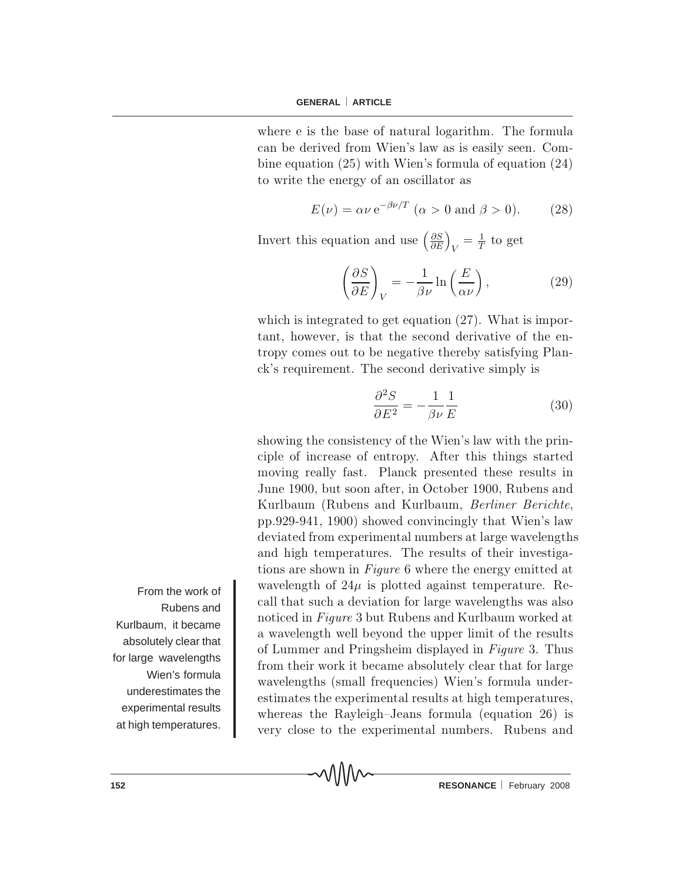where e is the base of natural logarithm. The formula can be derived from Wien's law as is easily seen. Combine equation  $(25)$  with Wien's formula of equation  $(24)$ to write the energy of an oscillator as

$$
E(\nu) = \alpha \nu \,\mathrm{e}^{-\beta \nu/T} \ (\alpha > 0 \text{ and } \beta > 0). \tag{28}
$$

Invert this equation and use  $\left(\frac{\partial S}{\partial E}\right)_V = \frac{1}{T}$  to get

$$
\left(\frac{\partial S}{\partial E}\right)_V = -\frac{1}{\beta \nu} \ln\left(\frac{E}{\alpha \nu}\right),\tag{29}
$$

which is integrated to get equation  $(27)$ . What is important, however, is that the second derivative of the entropy comes out to be negative thereby satisfying Planck's requirement. The second derivative simply is

$$
\frac{\partial^2 S}{\partial E^2} = -\frac{1}{\beta \nu} \frac{1}{E} \tag{30}
$$

showing the consistency of the Wien's law with the principle of increase of entropy. After this things started moving really fast. Planck presented these results in June 1900, but soon after, in October 1900, Rubens and Kurlbaum (Rubens and Kurlbaum, Berliner Berichte, pp.929-941, 1900) showed convincingly that Wien's law deviated from experimental numbers at large wavelengths and high temperatures. The results of their investigations are shown in Figure 6 where the energy emitted at wavelength of  $24\mu$  is plotted against temperature. Recall that such a deviation for large wavelengths was also noticed in Figure 3 but Rubens and Kurlbaum worked at a wavelength well beyond the upper limit of the results of Lummer and Pringsheim displayed in Figure 3. Thus from their work it became absolutely clear that for large w avelengths (small frequencies) Wien's formula underestimates the experimental results at high temperatures, whereas the Rayleigh-Jeans formula (equation  $26$ ) is very close to the experimental numbers. Rubens and

MMM

From the work of Rubens and Kurlbaum, it became absolutely clear that for large wavelengths Wien's formula underestimates the experimental results at high temperatures.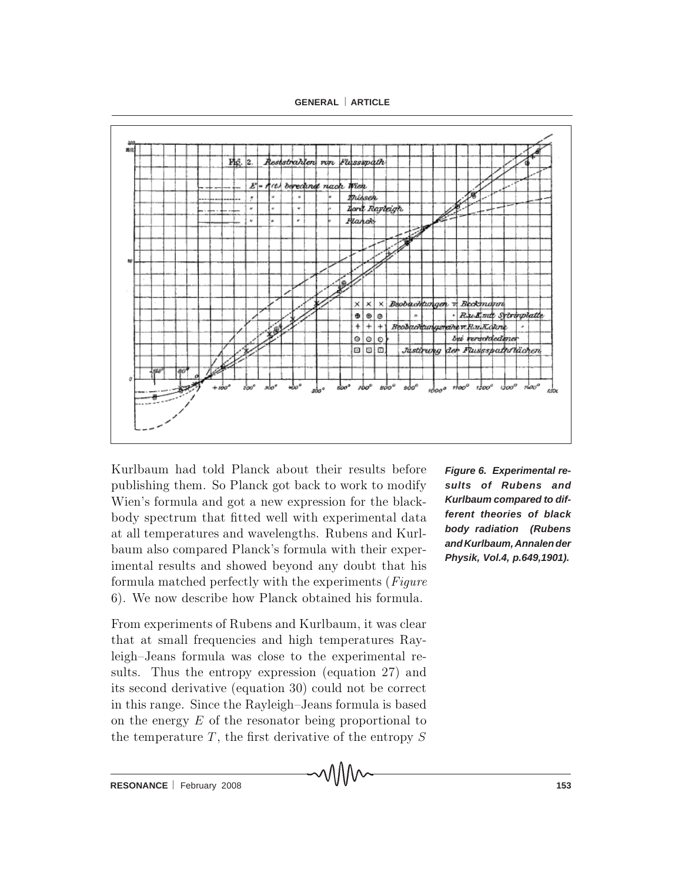**GENERAL** ⎜ **ARTICLE**



Kurlbaum had told Planck about their results before publishing them. So Planck got back to work to modify Wien's formula and got a new expression for the blackbody spectrum that fitted well with experimental data at all temperatures and wavelengths. Rubens and Kurlb a um also compared Planck's formula with their experimental results and showed beyond any doubt that his formula matched perfectly with the experiments ( $Figure$ 6). We now describe how Planck obtained his formula.

From experiments of Rubens and Kurlbaum, it was clear that at small frequencies and high temperatures Rayleigh-Jeans formula was close to the experimental results. Thus the entropy expression (equation 27) and its second derivative (equation 30) could not be correct in this range. Since the Rayleigh-Jeans formula is based on the energy  $E$  of the resonator being proportional to the temperature  $T$ , the first derivative of the entropy  $S$  *Figure 6. Experimental results of Rubens and Kurlbaum compared to different theories of black body radiation (Rubens and Kurlbaum, Annalen der Physik, Vol.4, p.649,1901).*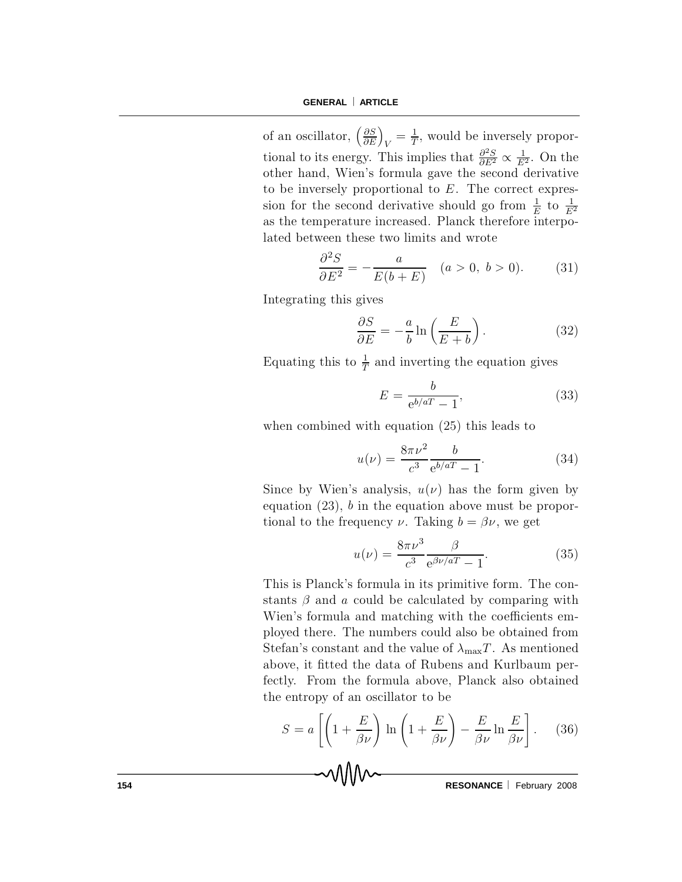of an oscillator,  $\left(\frac{\partial \mathcal{S}}{\partial I}\right)$  $\partial I$ ´  $\frac{1}{V} = \frac{1}{T}$  $\frac{1}{T}$ , would be inversely proportional to its energy. This implies that  $\frac{\partial^2 \mathcal{L}}{\partial E^2}$  $\frac{\partial^2 S}{\partial E^2} \propto \frac{1}{E}$  $\frac{1}{E^2}$ . On the other hand, Wien's formula gave the second derivative to be inversely proportional to  $E$ . The correct expression for the second derivative should go from  $\frac{1}{b}$  $\frac{1}{E}$  to  $\frac{1}{E}$  $E^2$ as the temperature increased. Planck therefore interpolated between these two limits and wrote

$$
\frac{\partial^2 S}{\partial E^2} = -\frac{a}{E(b+E)} \quad (a>0, b>0). \tag{31}
$$

Integrating this gives

$$
\frac{\partial S}{\partial E} = -\frac{a}{b} \ln \left( \frac{E}{E + b} \right). \tag{32}
$$

Equating this to  $\frac{1}{7}$  $\frac{1}{T}$  and inverting the equation gives

$$
E = \frac{b}{e^{b/aT} - 1},\tag{33}
$$

when combined with equation  $(25)$  this leads to

$$
u(\nu) = \frac{8\pi\nu^2}{c^3} \frac{b}{e^{b/aT} - 1}.
$$
 (34)

Since by Wien's analysis,  $u(\nu)$  has the form given by equation  $(23)$ , b in the equation above must be proportional to the frequency  $\nu$ . Taking  $b = \beta \nu$ , we get

$$
u(\nu) = \frac{8\pi\nu^3}{c^3} \frac{\beta}{e^{\beta\nu/aT} - 1}.
$$
 (35)

This is Planck's formula in its primitive form. The constants  $\beta$  and a could be calculated by comparing with Wien's formula and matching with the coefficients employed there. The numbers could also be obtained from Stefan's constant and the value of  $\lambda_{\text{max}}T$ . As mentioned above, it fitted the data of Rubens and Kurlbaum perfectly. From the formula above, Planck also obtained the entropy of an oscillator to be

$$
S = a \left[ \left( 1 + \frac{E}{\beta \nu} \right) \ln \left( 1 + \frac{E}{\beta \nu} \right) - \frac{E}{\beta \nu} \ln \frac{E}{\beta \nu} \right].
$$
 (36)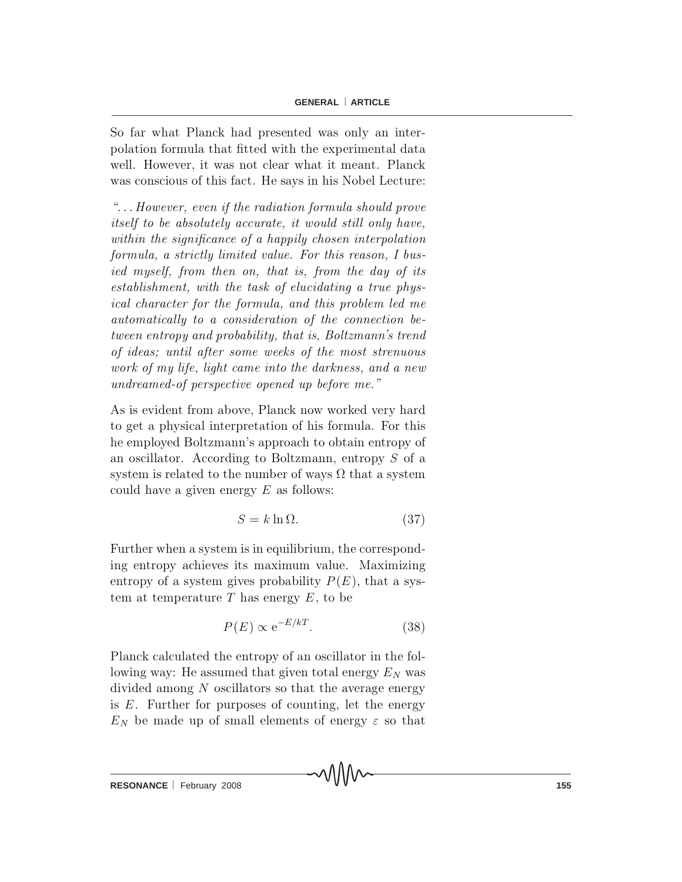So far what Planck had presented was only an interpolation formula that fitted with the experimental data well. However, it was not clear what it meant. Planck was conscious of this fact. He says in his Nobel Lecture:

 $\mathscr{L}$ ... However, even if the radiation formula should prove itself to be absolutely accurate, it would still only have, within the significance of a happily chosen interpolation formula, a strictly limited value. For this reason, I busied myself, from then on, that is, from the day of its  $establishment, with the task of elucidating a true phys$ ical character for the formula, and this problem led me automatically to a consideration of the connection between entropy and probability, that is, Boltzmann's trend of ideas; until after some weeks of the most strenuous work of my life, light came into the darkness, and a new undreamed-of perspective opened up before me."

As is evident from above, Planck now worked very hard to get a physical interpretation of his formula. For this he employed Boltzmann's approach to obtain entropy of an oscillator. According to Boltzmann, entropy  $S$  of a system is related to the number of ways  $\Omega$  that a system could have a given energy  $E$  as follows:

$$
S = k \ln \Omega. \tag{37}
$$

Further when a system is in equilibrium, the corresponding entropy achieves its maximum value. Maximizing entropy of a system gives probability  $P(E)$ , that a system at temperature T has energy  $E$ , to be

$$
P(E) \propto e^{-E/kT}.\tag{38}
$$

Planck calculated the entropy of an oscillator in the following way: He assumed that given total energy  $E<sub>N</sub>$  was divided among  $N$  oscillators so that the average energy is  $E$ . Further for purposes of counting, let the energy  $E_N$  be made up of small elements of energy  $\varepsilon$  so that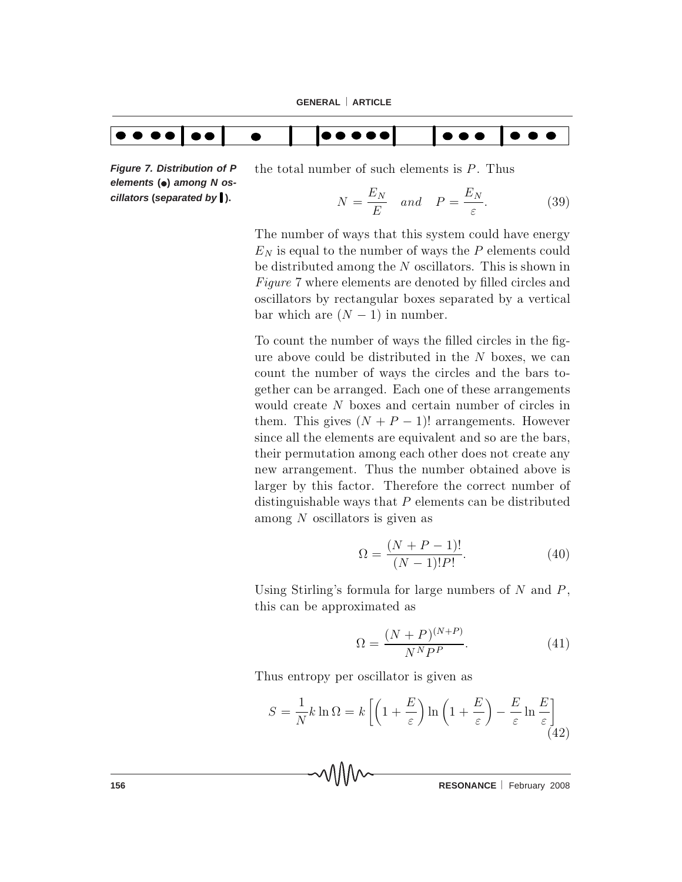

*Figure 7. Distribution of P elements* **(**•**)** *among N oscillators* **(***separated by* **).**

the total number of such elements is  $P$ . Thus

$$
N = \frac{E_N}{E} \quad and \quad P = \frac{E_N}{\varepsilon}.
$$
 (39)

The number of ways that this system could have energy  $E_N$  is equal to the number of ways the P elements could be distributed among the  ${\cal N}$  oscillators. This is shown in Figure 7 where elements are denoted by filled circles and oscillators by rectangular boxes separated by a vertical bar which are  $(N - 1)$  in number.

To count the number of ways the filled circles in the figure above could be distributed in the  $N$  boxes, we can count the number of ways the circles and the bars together can be arranged. Each one of these arrangements would create  $N$  boxes and certain number of circles in them. This gives  $(N + P - 1)!$  arrangements. However since all the elements are equivalent and so are the bars, their permutation among each other does not create any new arrangement. Thus the number obtained above is larger by this factor. Therefore the correct number of distinguishable ways that  $P$  elements can be distributed among  $N$  oscillators is given as

$$
\Omega = \frac{(N + P - 1)!}{(N - 1)!P!}.
$$
\n(40)

Using Stirling's formula for large numbers of  $N$  and  $P$ , this can be approximated as

$$
\Omega = \frac{(N+P)^{(N+P)}}{N^N P^P}.\tag{41}
$$

Thus entropy per oscillator is given as

$$
S = \frac{1}{N}k \ln \Omega = k \left[ \left( 1 + \frac{E}{\varepsilon} \right) \ln \left( 1 + \frac{E}{\varepsilon} \right) - \frac{E}{\varepsilon} \ln \frac{E}{\varepsilon} \right]
$$
(42)

**156 RESONANCE** February 2008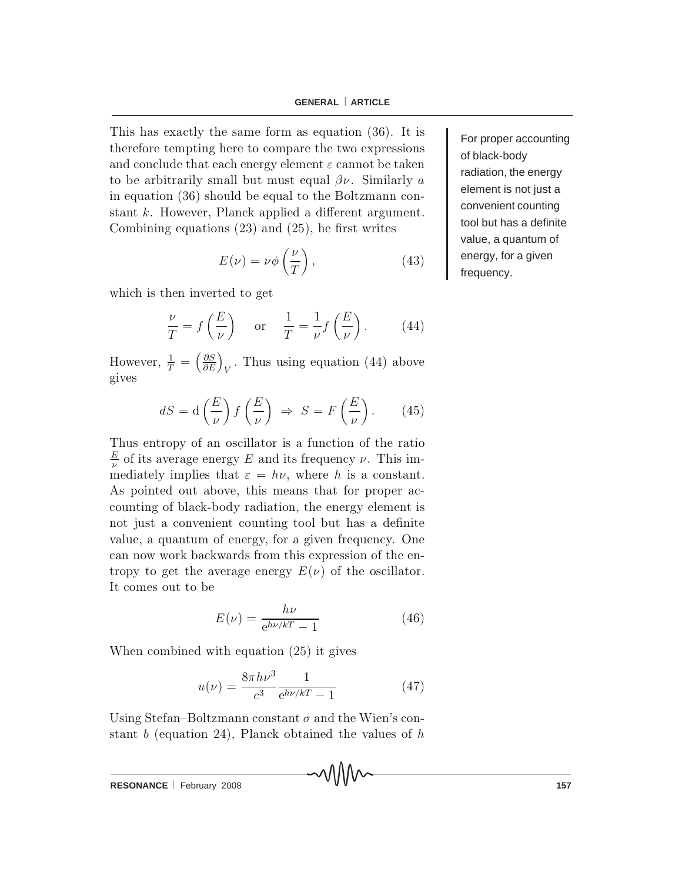This has exactly the same form as equation  $(36)$ . It is therefore tempting here to compare the two expressions and conclude that each energy element  $\varepsilon$  cannot be taken to be arbitrarily small but must equal  $\beta \nu$ . Similarly a in equation  $(36)$  should be equal to the Boltzmann constant  $k$ . However, Planck applied a different argument. Combining equations  $(23)$  and  $(25)$ , he first writes

$$
E(\nu) = \nu \phi \left(\frac{\nu}{T}\right),\tag{43}
$$

which is then inverted to get

$$
\frac{\nu}{T} = f\left(\frac{E}{\nu}\right) \quad \text{or} \quad \frac{1}{T} = \frac{1}{\nu} f\left(\frac{E}{\nu}\right). \tag{44}
$$

However,  $\frac{1}{T} = \left(\frac{\partial S}{\partial E}\right)_V$ . Thus using equation (44) above gives

$$
dS = d\left(\frac{E}{\nu}\right) f\left(\frac{E}{\nu}\right) \Rightarrow S = F\left(\frac{E}{\nu}\right). \tag{45}
$$

Thus entropy of an oscillator is a function of the ratio  $\frac{E}{\nu}$  of its average energy E and its frequency  $\nu$ . This immediately implies that  $\varepsilon = h\nu$ , where h is a constant. As pointed out above, this means that for proper accounting of black-body radiation, the energy element is not just a convenient counting tool but has a definite value, a quantum of energy, for a given frequency. One can now work backwards from this expression of the entropy to get the average energy  $E(\nu)$  of the oscillator. It comes out to be

$$
E(\nu) = \frac{h\nu}{e^{h\nu/kT} - 1} \tag{46}
$$

When combined with equation  $(25)$  it gives

$$
u(\nu) = \frac{8\pi h\nu^3}{c^3} \frac{1}{e^{h\nu/kT} - 1}
$$
 (47)

Using Stefan-Boltzmann constant  $\sigma$  and the Wien's constant b (equation 24), Planck obtained the values of  $h$ 

**RESONANCE** February 2008 **157** 

For proper accounting of black-body radiation, the energy element is not just a convenient counting tool but has a definite value, a quantum of energy, for a given frequency.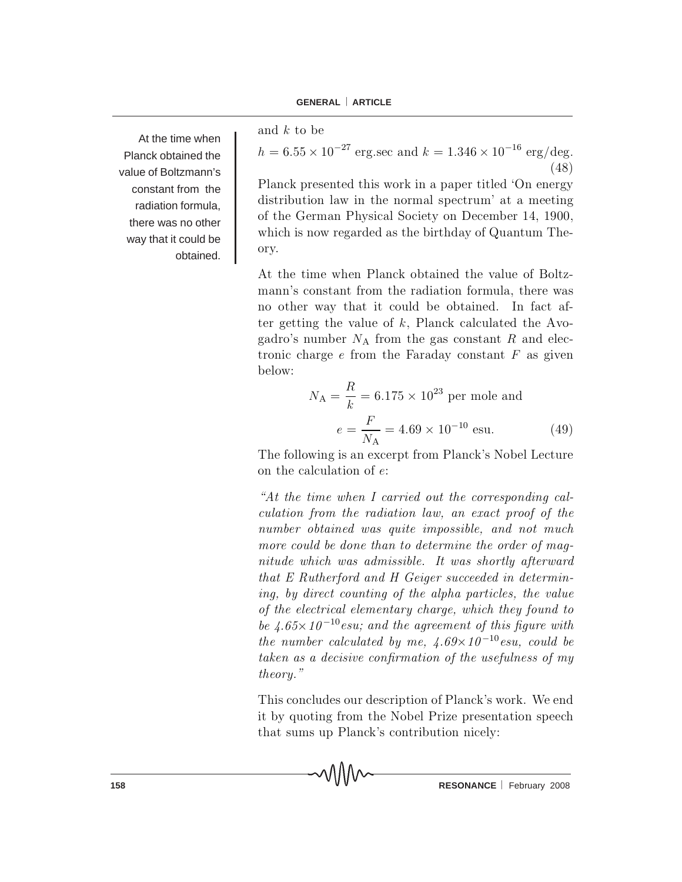At the time when Planck obtained the value of Boltzmann's constant from the radiation formula, there was no other way that it could be obtained.

and k to be

 $h = 6.55 \times 10^{-27}$  erg.sec and  $k = 1.346 \times 10^{-16}$  erg/deg.  $(48)$ 

Planck presented this work in a paper titled 'On energy distribution law in the normal spectrum' at a meeting of the German Physical Society on December 14, 1900, which is now regarded as the birthday of Quantum Theory.

At the time when Planck obtained the value of Boltzm ann's constant from the radiation formula, there was no other way that it could be obtained. In fact after getting the value of  $k$ , Planck calculated the Avogadro's number  $N_A$  from the gas constant R and electronic charge  $e$  from the Faraday constant  $F$  as given below:

$$
N_{\rm A} = \frac{R}{k} = 6.175 \times 10^{23} \text{ per mole and}
$$

$$
e = \frac{F}{N_{\rm A}} = 4.69 \times 10^{-10} \text{ esu.}
$$
(49)

The following is an excerpt from Planck's Nobel Lecture on the calculation of  $e$ :

"At the time when I carried out the corresponding calculation from the radiation law, an exact proof of the number obtained was quite impossible, and not much more could be done than to determine the order of magnitude which was admissible. It was shortly afterward that  $E$  Rutherford and  $H$  Geiger succeeded in determining, by direct counting of the alpha particles, the value of the electrical elementary charge, which they found to be 4.65 $\times$ 10<sup>-10</sup> esu; and the agreement of this figure with the number calculated by me,  $\angle 4.69 \times 10^{-10}$  esu, could be taken as a decisive confirmation of the usefulness of my theory."

This concludes our description of Planck's work. We end it by quoting from the Nobel Prize presentation speech that sums up Planck's contribution nicely: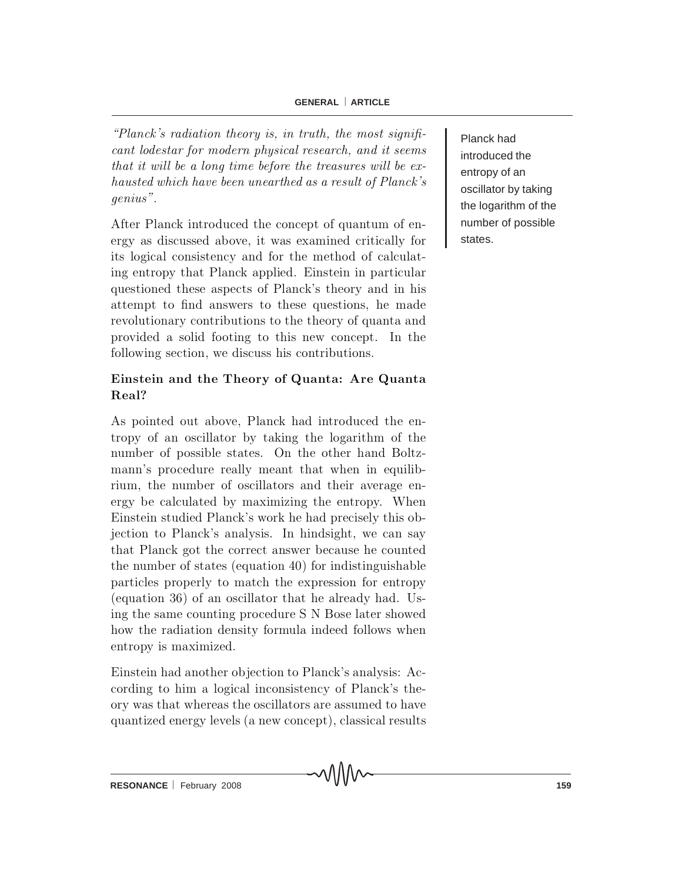### **GENERAL** ⎜ **ARTICLE**

"Planck's radiation theory is, in truth, the most significant lodestar for modern physical research, and it seems that it will be a long time before the treasures will be  $ex$ hausted which have been unearthed as a result of Planck's genius".

After Planck introduced the concept of quantum of energy as discussed above, it was examined critically for its logical consistency and for the method of calculating entropy that Planck applied. Einstein in particular questioned these aspects of Planck's theory and in his attempt to find answers to these questions, he made revolutionary contributions to the theory of quanta and provided a solid footing to this new concept. In the following section, we discuss his contributions.

## Einstein and the Theory of Quanta: Are Quanta Real?

As pointed out above, Planck had introduced the entropy of an oscillator by taking the logarithm of the number of possible states. On the other hand Boltzmann's procedure really meant that when in equilibrium, the number of oscillators and their average energy be calculated by maximizing the entropy. When Einstein studied Planck's work he had precisely this objection to Planck's analysis. In hindsight, we can say that Planck got the correct answer because he counted the number of states (equation 40) for indistinguishable particles properly to match the expression for entropy (equation 36) of an oscillator that he already had. Using the same counting procedure S N Bose later showed how the radiation density formula indeed follows when entropy is maximized.

Einstein had a nother objection to Planck's analysis: According to him a logical inconsistency of Planck's theory was that whereas the oscillators are assumed to have quantized energy levels (a new concept), classical results Planck had introduced the entropy of an oscillator by taking the logarithm of the number of possible states.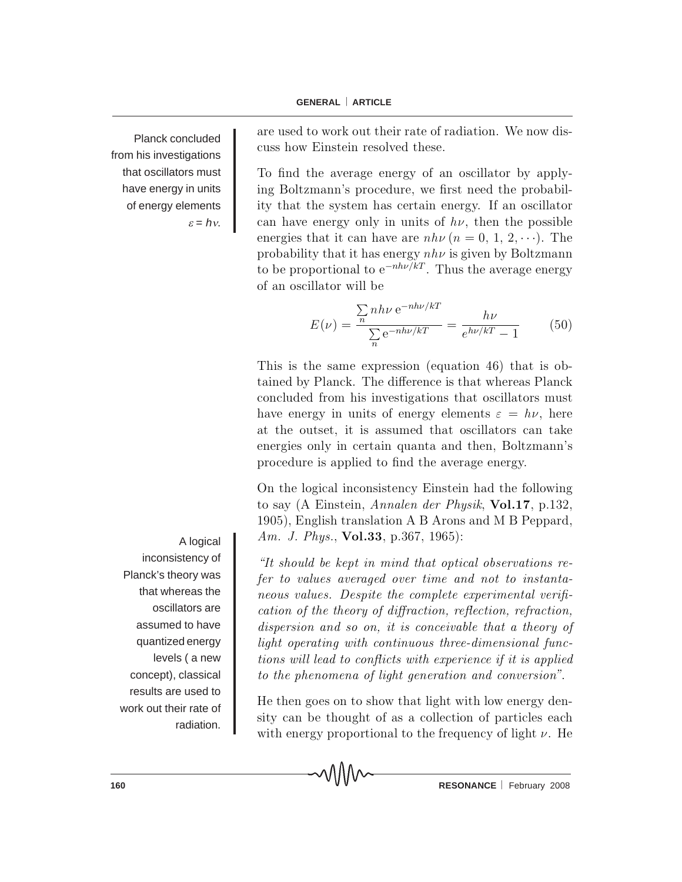Planck concluded from his investigations that oscillators must have energy in units of energy elements <sup>ε</sup> = *h*ν.

A logical inconsistency of Planck's theory was that whereas the oscillators are assumed to have quantized energy levels ( a new concept), classical results are used to work out their rate of radiation.

are used to work out their rate of radiation. We now discuss how Einstein resolved these.

To find the average energy of an oscillator by applying Boltzmann's procedure, we first need the probability that the system has certain energy. If an oscillator can have energy only in units of  $h\nu$ , then the possible energies that it can have are  $nh\nu (n = 0, 1, 2, \cdots)$ . The probability that it has energy  $nh\nu$  is given by Boltzmann to be proportional to  $e^{-nh\nu/kT}$ . Thus the average energy of an oscillator will be

$$
E(\nu) = \frac{\sum_{n} nh\nu e^{-nh\nu/kT}}{\sum_{n} e^{-nh\nu/kT}} = \frac{h\nu}{e^{h\nu/kT} - 1}
$$
(50)

This is the same expression (equation 46) that is obtained by Planck. The difference is that whereas Planck concluded from his investigations that oscillators must have energy in units of energy elements  $\varepsilon = h\nu$ , here at the outset, it is assumed that oscillators can take energies only in certain quanta and then, Boltzmann's procedure is applied to find the average energy.

On the logical inconsistency Einstein had the following to say (A Einstein, Annalen der Physik,  $Vol.17$ , p.132, 1905), English translation A B Arons and M B Peppard, Am. J. Phys., Vol.33, p.367, 1965):

"It should be kept in mind that optical observations refer to values averaged over time and not to instantaneous values. Despite the complete experimental verification of the theory of diffraction, reflection, refraction, dispersion and so on, it is conceivable that a theory of light operating with continuous three-dimensional functions will lead to conflicts with experience if it is applied to the phenomena of light generation and conversion".

He then goes on to show that light with low energy density can be thought of as a collection of particles each with energy proportional to the frequency of light  $\nu$ . He

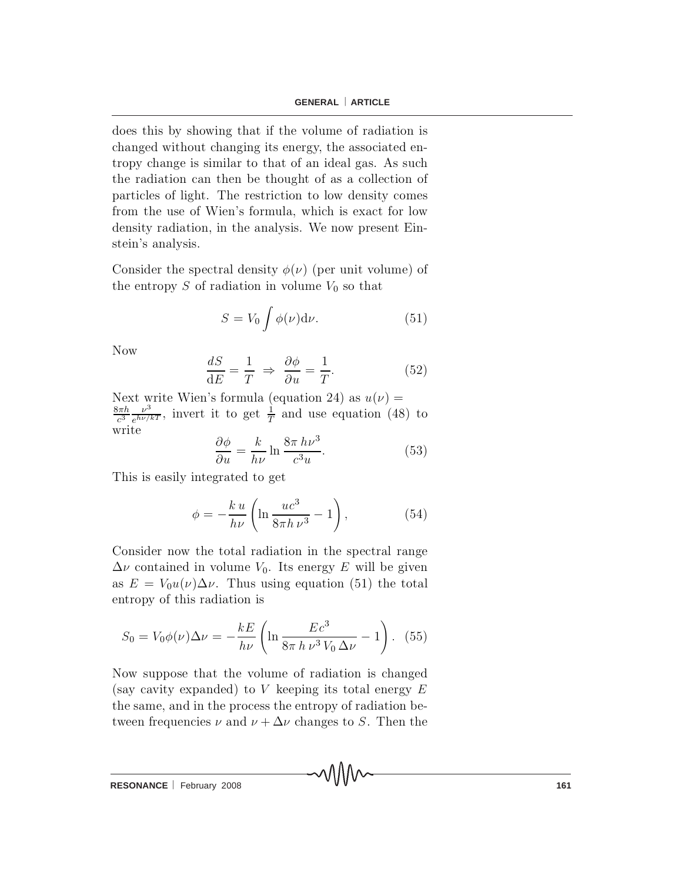does this by showing that if the volume of radiation is changed without changing its energy, the associated entropy change is similar to that of an ideal gas. As such the radiation can then be thought of as a collection of particles of light. The restriction to low density comes from the use of Wien's formula, which is exact for low density radiation, in the analysis. We now present Einstein's analysis.

Consider the spectral density  $\phi(\nu)$  (per unit volume) of the entropy S of radiation in volume  $V_0$  so that

$$
S = V_0 \int \phi(\nu) d\nu.
$$
 (51)

N<sub>ow</sub>

$$
\frac{dS}{dE} = \frac{1}{T} \Rightarrow \frac{\partial \phi}{\partial u} = \frac{1}{T}.
$$
 (52)

Next write Wien's formula (equation 24) as  $u(\nu)$  =  $rac{8\pi h}{c^3}$  $\frac{\nu^3}{e^{h\nu/kT}}$ , invert it to get  $\frac{1}{T}$  and use equation (48) to write

$$
\frac{\partial \phi}{\partial u} = \frac{k}{h\nu} \ln \frac{8\pi h\nu^3}{c^3 u}.
$$
 (53)

This is easily integrated to get

$$
\phi = -\frac{k u}{h\nu} \left( \ln \frac{uc^3}{8\pi h \nu^3} - 1 \right),\tag{54}
$$

Consider now the total radiation in the spectral range  $\Delta \nu$  contained in volume  $V_0$ . Its energy E will be given as  $E = V_0 u(\nu) \Delta \nu$ . Thus using equation (51) the total entropy of this radiation is

$$
S_0 = V_0 \phi(\nu) \Delta \nu = -\frac{kE}{h\nu} \left( \ln \frac{Ec^3}{8\pi h \nu^3 V_0 \Delta \nu} - 1 \right). \tag{55}
$$

Now suppose that the volume of radiation is changed (say cavity expanded) to V keeping its total energy  $E$ the same, and in the process the entropy of radiation between frequencies  $\nu$  and  $\nu + \Delta \nu$  changes to S. Then the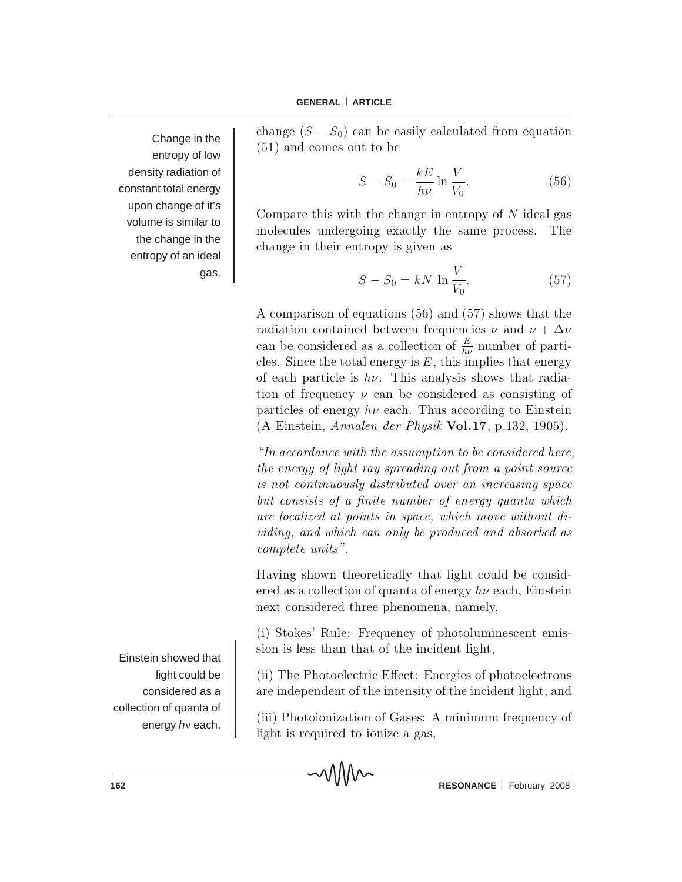Change in the entropy of low density radiation of constant total energy upon change of it's volume is similar to the change in the entropy of an ideal gas.

change  $(S - S_0)$  can be easily calculated from equation  $(51)$  and comes out to be

$$
S - S_0 = \frac{kE}{h\nu} \ln \frac{V}{V_0}.
$$
\n
$$
(56)
$$

Compare this with the change in entropy of  $N$  ideal gas m o lecules undergoing exactly the same process. The change in their entropy is given as

$$
S - S_0 = kN \ln \frac{V}{V_0}.
$$
 (57)

A comparison of equations  $(56)$  and  $(57)$  shows that the radiation contained between frequencies  $\nu$  and  $\nu + \Delta \nu$ can be considered as a collection of  $\frac{E}{h\nu}$  number of particles. Since the total energy is  $E$ , this implies that energy of each particle is  $h\nu$ . This analysis shows that radiation of frequency  $\nu$  can be considered as consisting of particles of energy  $h\nu$  each. Thus according to Einstein (A Einstein, Annalen der Physik Vol.17, p.132, 1905).

 $\lq$ In accordance with the assumption to be considered here, the energy of light ray spreading out from a point source is not continuously distributed over an increasing space but consists of a finite number of energy quanta which are localized at points in space, which move without dividing, and which can only be produced and absorbed as complete units".

Having shown theoretically that light could be considered as a collection of quanta of energy  $h\nu$  each, Einstein next considered three phenomena, namely,

 $(i)$  Stokes' Rule: Frequency of photoluminescent emission is less than that of the incident light,

 $(ii)$  The Photoelectric Effect: Energies of photoelectrons are independent of the intensity of the incident light, and

 $(iii)$  Photoionization of Gases: A minimum frequency of light is required to ionize a gas,

Einstein showed that light could be considered as a collection of quanta of energy *h*ν each.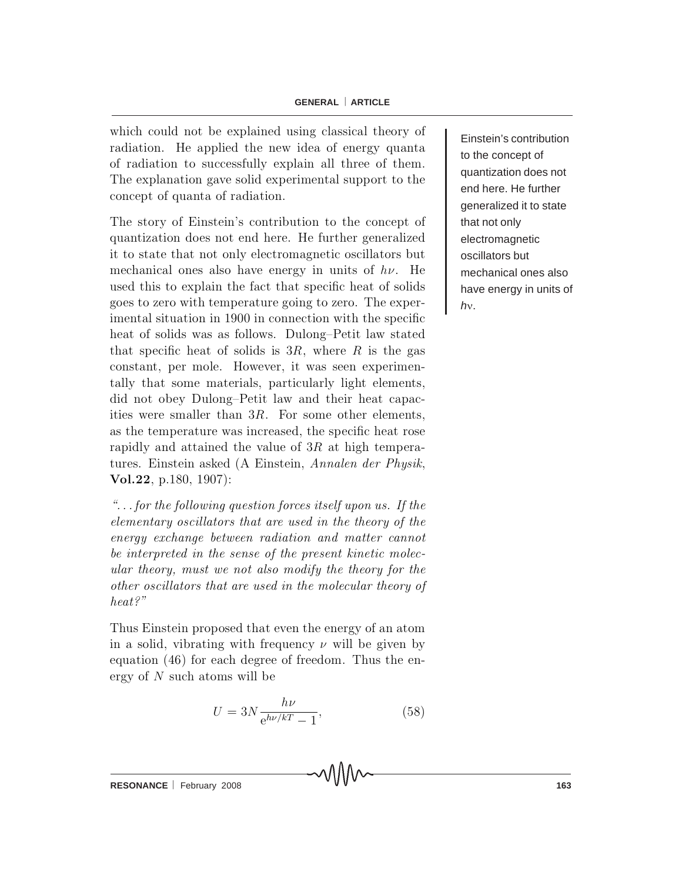which could not be explained using classical theory of radiation. He applied the new idea of energy quanta of radiation to successfully explain all three of them. The explanation gave solid experimental support to the concept of quanta of radiation.

The story of Einstein's contribution to the concept of quantization does not end here. He further generalized it to state that not only electromagnetic oscillators but mechanical ones also have energy in units of  $h\nu$ . He used this to explain the fact that specific heat of solids goes to zero with temperature going to zero. The experimental situation in 1900 in connection with the specific heat of solids was as follows. Dulong-Petit law stated that specific heat of solids is  $3R$ , where R is the gas constant, per mole. However, it was seen experimentally that some materials, particularly light elements, did not obey Dulong-Petit law and their heat capacities were smaller than  $3R$ . For some other elements, as the temperature was increased, the specific heat rose rapidly and attained the value of  $3R$  at high temperatures. Einstein asked (A Einstein, Annalen der Physik, Vol.22, p.180,  $1907$ :

 $\ldots$  for the following question forces itself upon us. If the elementary oscillators that are used in the theory of the energy exchange between radiation and matter cannot be interpreted in the sense of the present kinetic molecular theory, must we not also modify the theory for the other oscillators that are used in the molecular theory of heat?"

Thus Einstein proposed that even the energy of an atom in a solid, vibrating with frequency  $\nu$  will be given by equation  $(46)$  for each degree of freedom. Thus the energy of  $N$  such atoms will be

$$
U = 3N \frac{h\nu}{e^{h\nu/kT} - 1},\tag{58}
$$

Einstein's contribution to the concept of quantization does not end here. He further generalized it to state that not only electromagnetic oscillators but mechanical ones also have energy in units of *h*ν.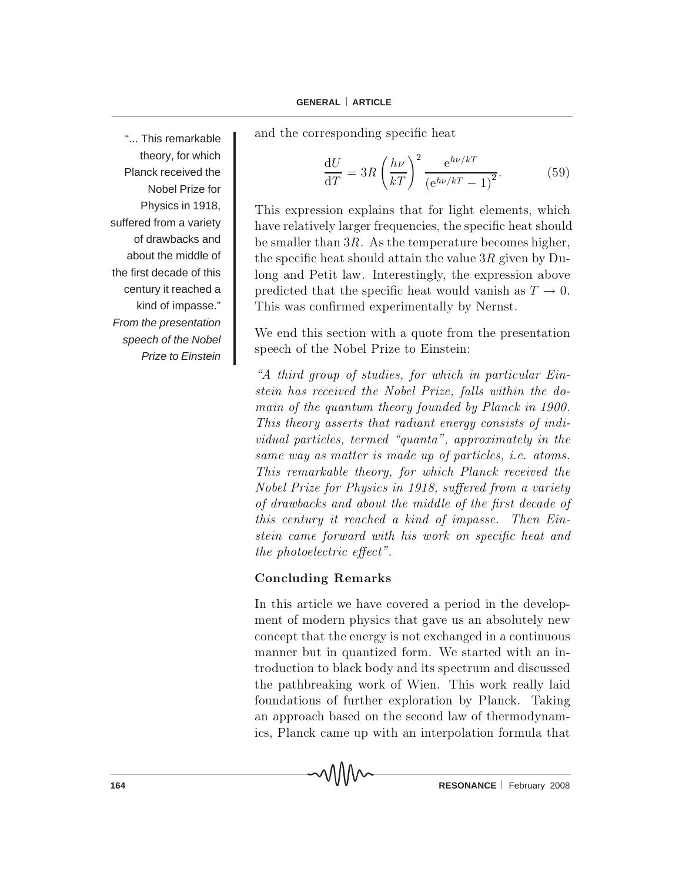"... This remarkable theory, for which Planck received the Nobel Prize for Physics in 1918, suffered from a variety of drawbacks and about the middle of the first decade of this century it reached a kind of impasse." *From the presentation speech of the Nobel Prize to Einstein* and the corresponding specific heat

$$
\frac{\mathrm{d}U}{\mathrm{d}T} = 3R \left(\frac{h\nu}{kT}\right)^2 \frac{\mathrm{e}^{h\nu/kT}}{\left(\mathrm{e}^{h\nu/kT} - 1\right)^2}.\tag{59}
$$

This expression explains that for light elements, which have relatively larger frequencies, the specific heat should be smaller than  $3R$ . As the temperature becomes higher, the specific heat should attain the value  $3R$  given by Dulong and Petit law. Interestingly, the expression above predicted that the specific heat would vanish as  $T \to 0$ . This was confirmed experimentally by Nernst.

We end this section with a quote from the presentation speech of the Nobel Prize to Einstein:

 $A$  third group of studies, for which in particular Einstein has received the Nobel Prize, falls within the domain of the quantum theory founded by Planck in 1900. This theory asserts that radiant energy consists of individual particles, termed "quanta", approximately in the same way as matter is made up of particles, i.e. atoms. This remarkable theory, for which Planck received the Nobel Prize for Physics in 1918, suffered from a variety of drawbacks and about the middle of the first decade of this century it reached a kind of impasse. Then  $Ein$ stein came forward with his work on specific heat and the photoelectric effect".

### Concluding Remarks

ᄾ᠕᠕᠕୵

In this article we have covered a period in the development of modern physics that gave us an absolutely new concept that the energy is not exchanged in a continuous manner but in quantized form. We started with an introduction to black body and its spectrum and discussed the pathbreaking work of Wien. This work really laid foundations of further exploration by Planck. Taking an approach based on the second law of thermodynamics, Planck came up with an interpolation formula that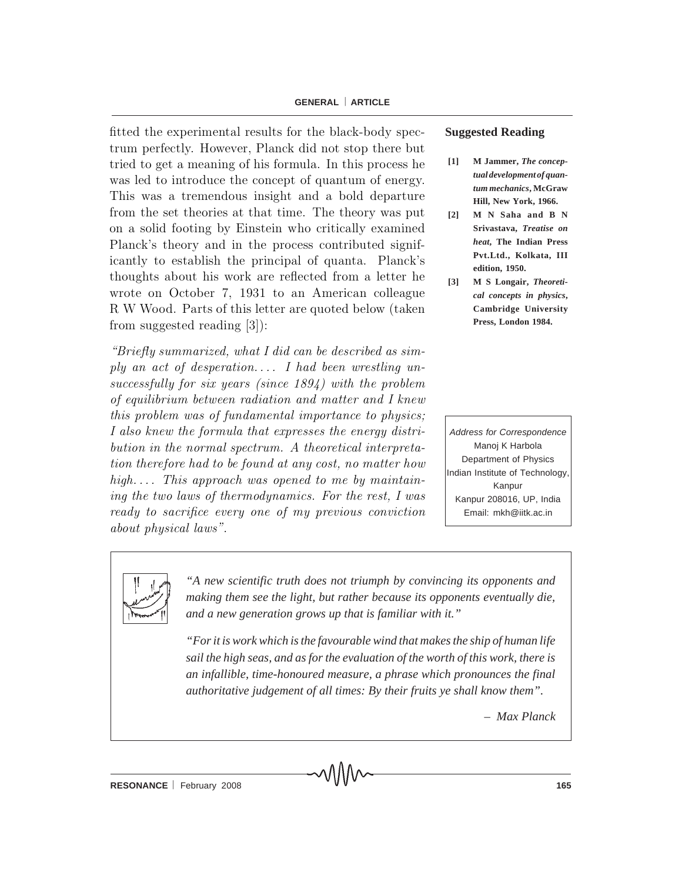#### **GENERAL** ⎜ **ARTICLE**

fitted the experimental results for the black-body spectrum perfectly. However, Planck did not stop there but tried to get a meaning of his formula. In this process he was led to introduce the concept of quantum of energy. This was a tremendous insight and a bold departure from the set theories at that time. The theory was put on a solid footing by Einstein who critically examined Planck's theory and in the process contributed significantly to establish the principal of quanta. Planck's thoughts about his work are reflected from a letter he wrote on October 7, 1931 to an American colleague R W Wood. Parts of this letter are quoted below (taken from suggested reading  $[3]$ :

" $Briefly summarized, what I did can be described as sim$ ply an act of desperation.... I had been wrestling unsuccessfully for six years (since  $1894$ ) with the problem of equilibrium between radiation and matter and I knew this problem was of fundamental importance to physics; I also knew the formula that expresses the energy distribution in the normal spectrum. A theoretical interpretation therefore had to be found at any cost, no matter how high.... This approach was opened to me by maintaining the two laws of thermodynamics. For the rest,  $I$  was ready to sacrifice every one of my previous conviction about physical laws".

#### **Suggested Reading**

- **[1] M Jammer,** *The conceptual development of quantum mechanics***, McGraw Hill, New York, 1966.**
- **[2] M N Saha and B N Srivastava,** *Treatise on heat***, The Indian Press Pvt.Ltd., Kolkata, III edition, 1950.**
- **[3] M S Longair,** *Theoretical concepts in physics***, Cambridge University Press, London 1984.**

*Address for Correspondence* Manoj K Harbola Department of Physics Indian Institute of Technology, Kanpur Kanpur 208016, UP, India Email: mkh@iitk.ac.in



*"A new scientific truth does not triumph by convincing its opponents and making them see the light, but rather because its opponents eventually die, and a new generation grows up that is familiar with it."*

*"For it is work which is the favourable wind that makes the ship of human life sail the high seas, and as for the evaluation of the worth of this work, there is an infallible, time-honoured measure, a phrase which pronounces the final authoritative judgement of all times: By their fruits ye shall know them".*

*– Max Planck*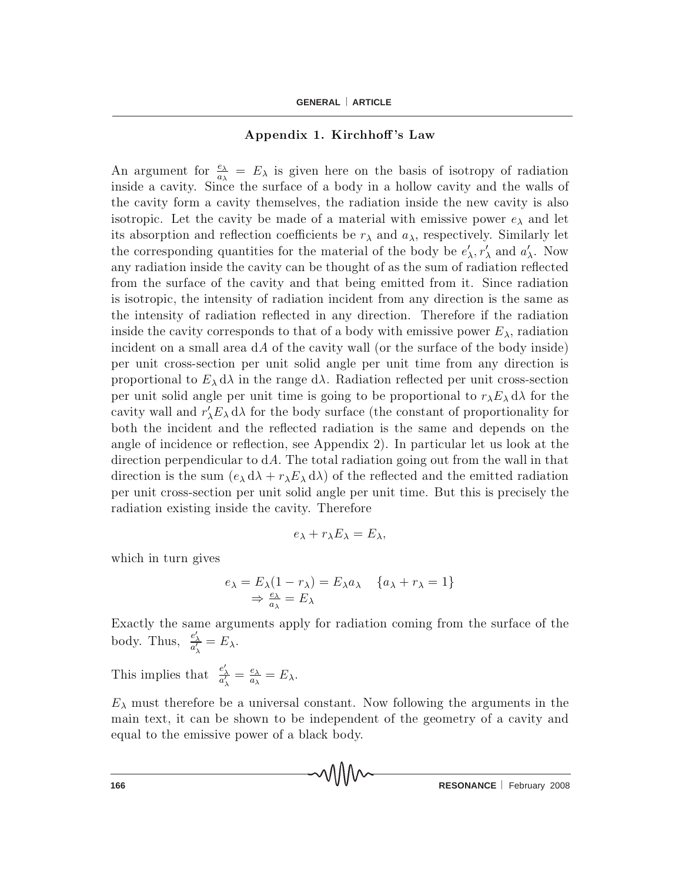### Appendix 1. Kirchhoff's Law

An argument for  $\frac{e_{\lambda}}{a_{\lambda}} = E_{\lambda}$  is given here on the basis of isotropy of radiation in side a cavity. Since the surface of a body in a hollow cavity and the walls of the cavity form a cavity themselves, the radiation inside the new cavity is also isotropic. Let the cavity be made of a material with emissive power  $e_{\lambda}$  and let its absorption and reflection coefficients be  $r_{\lambda}$  and  $a_{\lambda}$ , respectively. Similarly let the corresponding quantities for the material of the body be  $e'_{\lambda}, r'_{\lambda}$  and  $a'_{\lambda}$ . Now any radiation inside the cavity can be thought of as the sum of radiation reflected from the surface of the cavity and that being emitted from it. Since radiation is isotropic, the intensity of radiation incident from any direction is the same as the intensity of radiation reflected in any direction. Therefore if the radiation inside the cavity corresponds to that of a body with emissive power  $E_{\lambda}$ , radiation in cident on a small area  $dA$  of the cavity wall (or the surface of the body inside) per unit cross-section per unit solid angle per unit time from any direction is proportional to  $E_{\lambda} d\lambda$  in the range  $d\lambda$ . Radiation reflected per unit cross-section per unit solid angle per unit time is going to be proportional to  $r_{\lambda}E_{\lambda} d\lambda$  for the cavity wall and  $r'_{\lambda}E_{\lambda} d\lambda$  for the body surface (the constant of proportionality for both the incident and the reflected radiation is the same and depends on the angle of incidence or reflection, see Appendix 2. In particular let us look at the direction perpendicular to  $dA$ . The total radiation going out from the wall in that direction is the sum  $(e_{\lambda} d\lambda + r_{\lambda} E_{\lambda} d\lambda)$  of the reflected and the emitted radiation per unit cross-section per unit solid angle per unit time. But this is precisely the radiation existing inside the cavity. Therefore

$$
e_{\lambda}+r_{\lambda}E_{\lambda}=E_{\lambda},
$$

which in turn gives

$$
e_{\lambda} = E_{\lambda}(1 - r_{\lambda}) = E_{\lambda}a_{\lambda} \quad \{a_{\lambda} + r_{\lambda} = 1\}
$$

$$
\Rightarrow \frac{e_{\lambda}}{a_{\lambda}} = E_{\lambda}
$$

Exactly the same arguments apply for radiation coming from the surface of the body. Thus,  $\frac{e'_{\lambda}}{a'_{\lambda}} = E_{\lambda}$ .

This implies that  $\frac{e'_{\lambda}}{a'_{\lambda}} = \frac{e_{\lambda}}{a_{\lambda}} = E_{\lambda}$ .

 $E_{\lambda}$  must therefore be a universal constant. Now following the arguments in the main text, it can be shown to be independent of the geometry of a cavity and equal to the emissive power of a black body.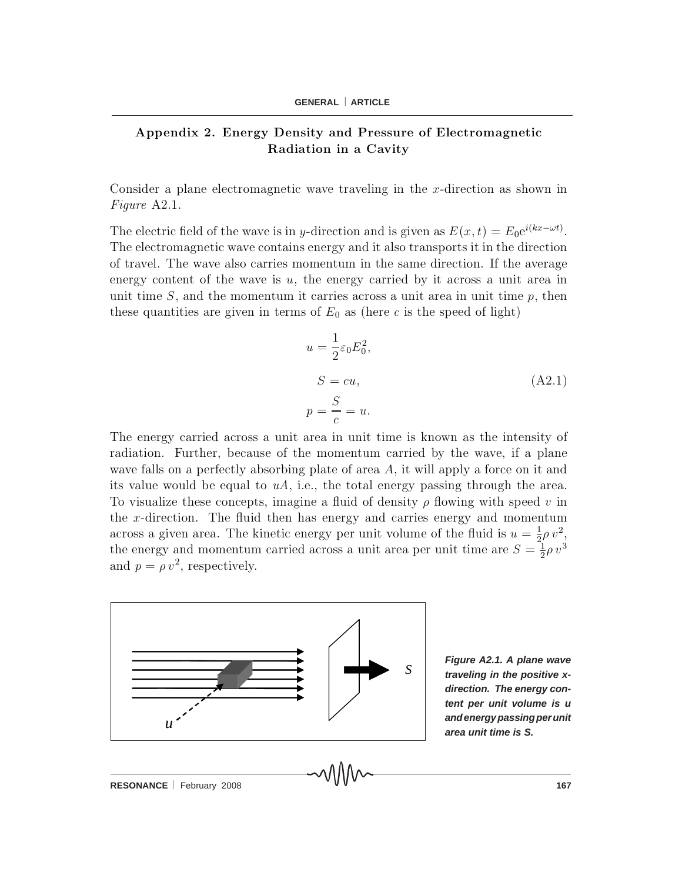### Appendix 2. Energy Density and Pressure of Electromagnetic Radiation in a Cavity

Consider a plane electromagnetic wave traveling in the  $x$ -direction as shown in Figure  $A2.1$ .

The electric field of the wave is in y-direction and is given as  $E(x,t) = E_0 e^{i(kx - \omega t)}$ . The electromagnetic wave contains energy and it also transports it in the direction of travel. The wave also carries momentum in the same direction. If the average energy content of the wave is  $u$ , the energy carried by it across a unit area in unit time  $S$ , and the momentum it carries across a unit area in unit time  $p$ , then these quantities are given in terms of  $E_0$  as (here c is the speed of light)

$$
u = \frac{1}{2}\varepsilon_0 E_0^2,
$$
  
\n
$$
S = cu,
$$
  
\n
$$
p = \frac{S}{c} = u.
$$
\n(A2.1)

The energy carried across a unit area in unit time is known as the intensity of radiation. Further, because of the momentum carried by the wave, if a plane wave falls on a perfectly absorbing plate of area  $A$ , it will apply a force on it and its value would be equal to  $uA$ , i.e., the total energy passing through the area. To visualize these concepts, imagine a fluid of density  $\rho$  flowing with speed v in the x-direction. The fluid then has energy and carries energy and momentum across a given area. The kinetic energy per unit volume of the fluid is  $u = \frac{1}{2}\rho v^2$ , the energy and momentum carried across a unit area per unit time are  $S = \frac{1}{2}\rho v^3$ and  $p = \rho v^2$ , respectively.



*<sup>S</sup>Figure A2.1. A plane wave traveling in the positive xdirection. The energy content per unit volume is u and energy passing per unit area unit time is S.*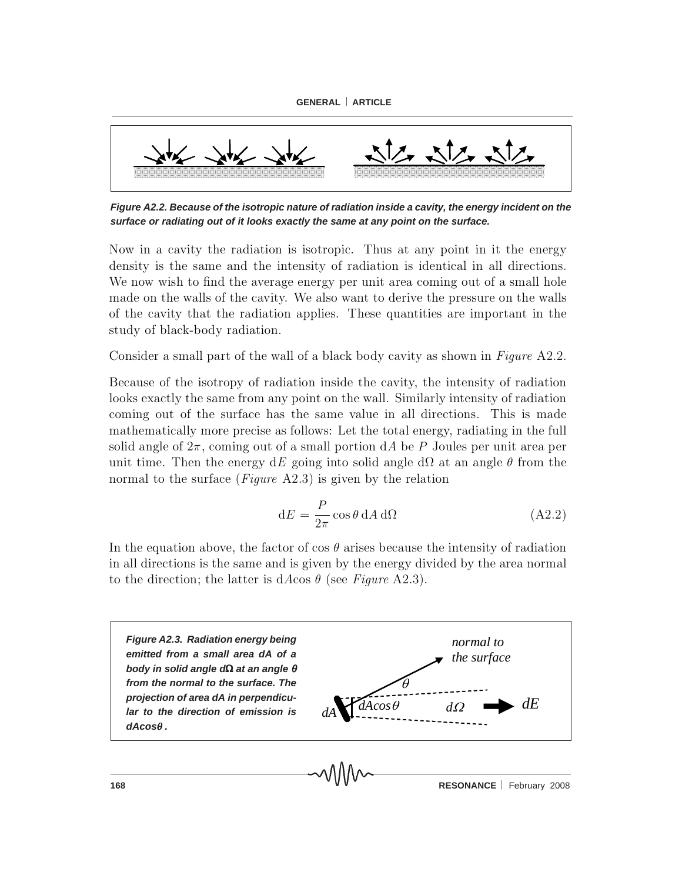

*Figure A2.2. Because of the isotropic nature of radiation inside a cavity, the energy incident on the surface or radiating out of it looks exactly the same at any point on the surface.*

Now in a cavity the radiation is isotropic. Thus at any point in it the energy density is the same and the intensity of radiation is identical in all directions. We now wish to find the average energy per unit area coming out of a small hole made on the walls of the cavity. We also want to derive the pressure on the walls of the cavity that the radiation applies. These quantities are important in the study of black-body radiation.

Consider a small part of the wall of a black body cavity as shown in Figure A2.2.

Because of the isotropy of radiation inside the cavity, the intensity of radiation looks exactly the same from any point on the wall. Similarly intensity of radiation coming out of the surface has the same value in all directions. This is made m a the matically more precise as follows: Let the total energy, radiating in the full solid angle of  $2\pi$ , coming out of a small portion dA be P Joules per unit area per unit time. Then the energy dE going into solid angle  $d\Omega$  at an angle  $\theta$  from the normal to the surface (*Figure* A2.3) is given by the relation

$$
dE = \frac{P}{2\pi} \cos \theta \, dA \, d\Omega \tag{A2.2}
$$

In the equation above, the factor of cos  $\theta$  arises because the intensity of radiation in all directions is the same and is given by the energy divided by the area normal to the direction; the latter is dAcos  $\theta$  (see Figure A2.3).

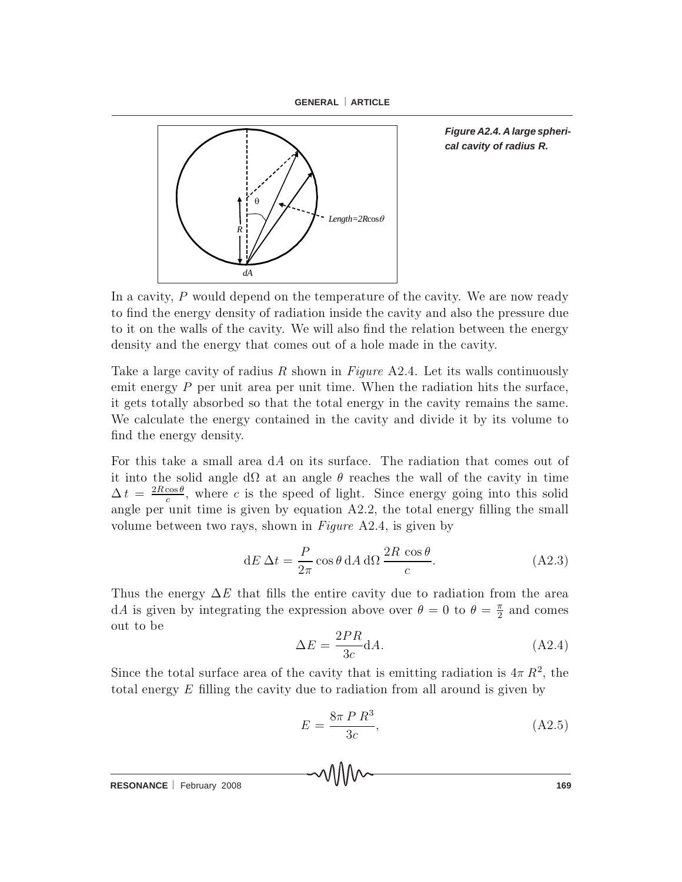



*Figure A2.4. A large spherical cavity of radius R.*

In a cavity,  $P$  would depend on the temperature of the cavity. We are now ready to find the energy density of radiation inside the cavity and also the pressure due to it on the walls of the cavity. We will also find the relation between the energy density and the energy that comes out of a hole made in the cavity.

Take a large cavity of radius R shown in Figure  $A2.4$ . Let its walls continuously em it energy  $P$  per unit area per unit time. When the radiation hits the surface, it gets to tally absorbed so that the total energy in the cavity remains the same. We calculate the energy contained in the cavity and divide it by its volume to find the energy density.

For this take a small area  $dA$  on its surface. The radiation that comes out of it into the solid angle d $\Omega$  at an angle  $\theta$  reaches the wall of the cavity in time  $\Delta t = \frac{2R\cos\theta}{c}$ , where c is the speed of light. Since energy going into this solid angle per unit time is given by equation  $A2.2$ , the total energy filling the small volume between two rays, shown in Figure A2.4, is given by

$$
dE \Delta t = \frac{P}{2\pi} \cos \theta \, dA \, d\Omega \, \frac{2R \, \cos \theta}{c}.
$$
 (A2.3)

Thus the energy  $\Delta E$  that fills the entire cavity due to radiation from the area dA is given by integrating the expression above over  $\theta = 0$  to  $\theta = \frac{\pi}{2}$  and comes out to be

$$
\Delta E = \frac{2PR}{3c} dA.
$$
\n(A2.4)

Since the total surface area of the cavity that is emitting radiation is  $4\pi R^2$ , the total energy  $E$  filling the cavity due to radiation from all around is given by

$$
E = \frac{8\pi P R^3}{3c},\tag{A2.5}
$$

**RESONANCE** February 2008 **169 169**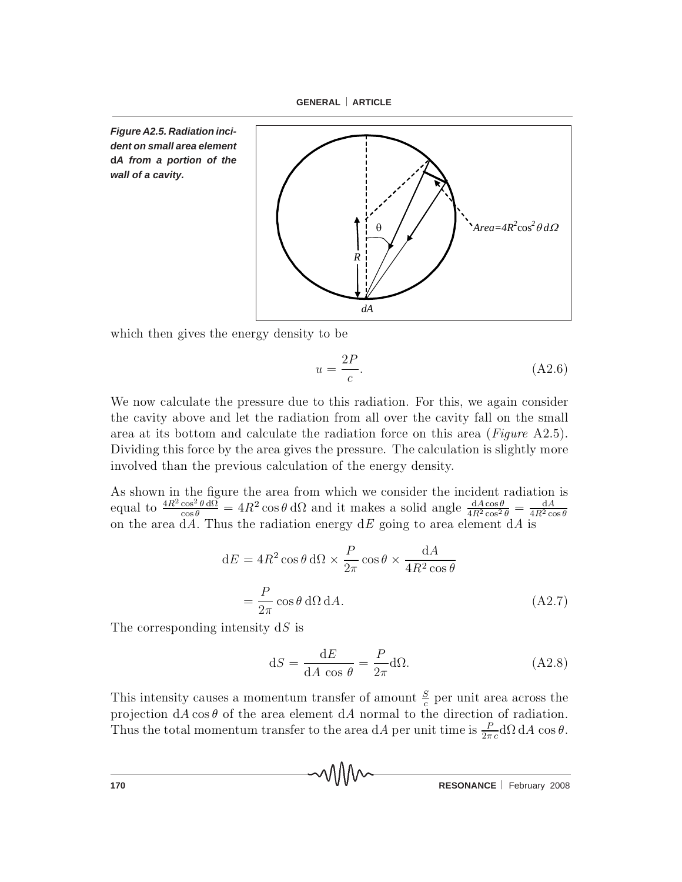

*Figure A2.5. Radiation incident on small area element* **d***A from a portion of the wall of a cavity.*



which then gives the energy density to be

$$
u = \frac{2P}{c}.\tag{A2.6}
$$

We now calculate the pressure due to this radiation. For this, we again consider the cavity above and let the radiation from all over the cavity fall on the small area at its bottom and calculate the radiation force on this area (Figure  $A2.5$ ). Dividing this force by the area gives the pressure. The calculation is slightly more involved than the previous calculation of the energy density.

As shown in the figure the area from which we consider the incident radiation is equal to  $\frac{4R^2 \cos^2 \theta \, d\Omega}{\cos \theta} = 4R^2 \cos \theta \, d\Omega$  and it makes a solid angle  $\frac{dA \cos \theta}{4R^2 \cos^2 \theta} = \frac{dA}{4R^2 \cos \theta}$ <br>on the area dA. Thus the radiation energy dE going to area element dA is

$$
dE = 4R^2 \cos \theta \, d\Omega \times \frac{P}{2\pi} \cos \theta \times \frac{dA}{4R^2 \cos \theta}
$$

$$
= \frac{P}{2\pi} \cos \theta \, d\Omega \, dA. \tag{A2.7}
$$

The corresponding intensity  $dS$  is

$$
dS = \frac{dE}{dA \cos \theta} = \frac{P}{2\pi} d\Omega.
$$
 (A2.8)

This intensity causes a momentum transfer of amount  $\frac{S}{c}$  per unit area across the projection  $dA \cos\theta$  of the area element  $dA$  normal to the direction of radiation. Thus the total momentum transfer to the area dA per unit time is  $\frac{P}{2\pi c} d\Omega dA \cos\theta$ .